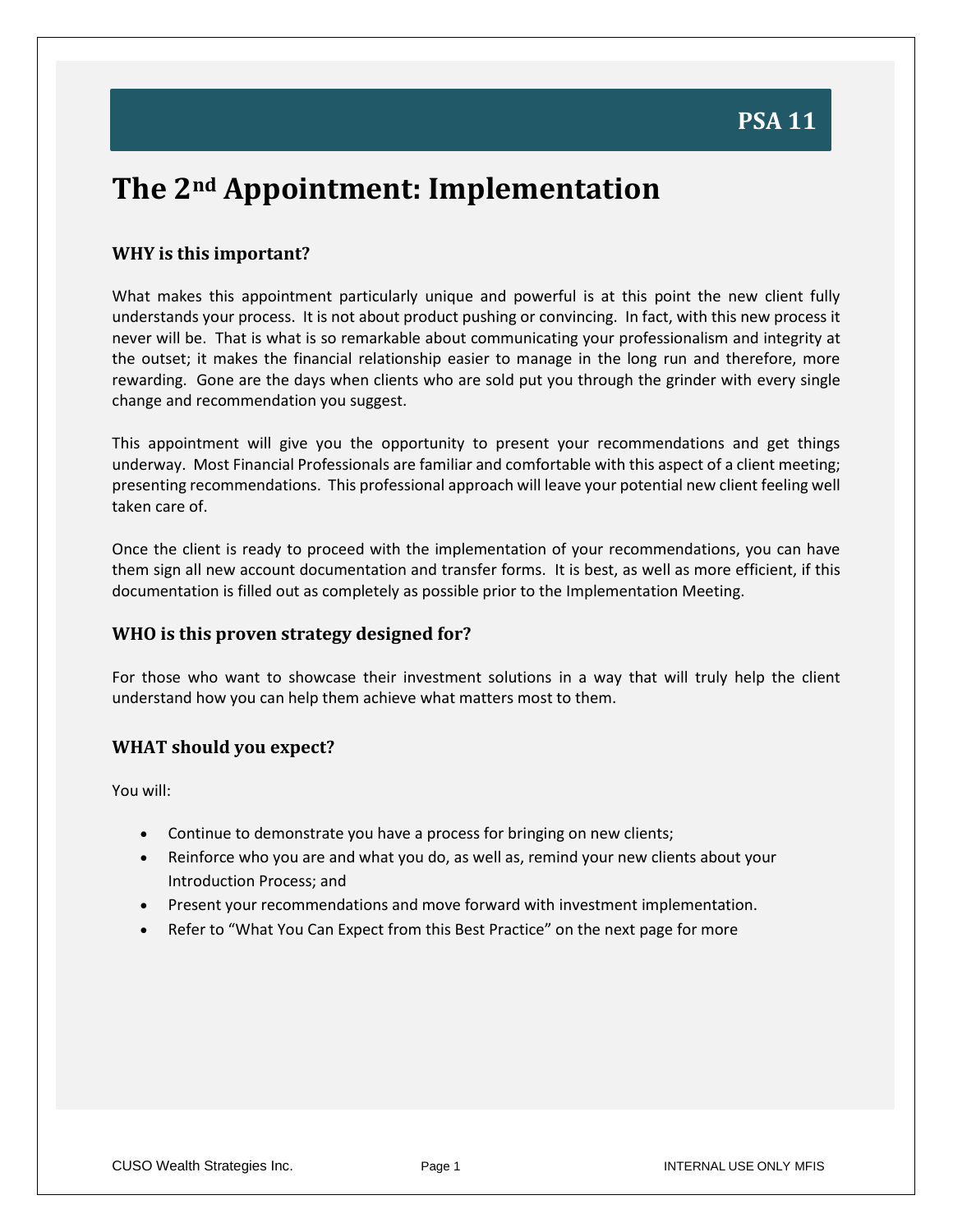## **PSA 11**

## **The 2nd Appointment: Implementation**

#### **WHY is this important?**

What makes this appointment particularly unique and powerful is at this point the new client fully understands your process. It is not about product pushing or convincing. In fact, with this new process it never will be. That is what is so remarkable about communicating your professionalism and integrity at the outset; it makes the financial relationship easier to manage in the long run and therefore, more rewarding. Gone are the days when clients who are sold put you through the grinder with every single change and recommendation you suggest.

This appointment will give you the opportunity to present your recommendations and get things underway. Most Financial Professionals are familiar and comfortable with this aspect of a client meeting; presenting recommendations. This professional approach will leave your potential new client feeling well taken care of.

Once the client is ready to proceed with the implementation of your recommendations, you can have them sign all new account documentation and transfer forms. It is best, as well as more efficient, if this documentation is filled out as completely as possible prior to the Implementation Meeting.

#### **WHO is this proven strategy designed for?**

For those who want to showcase their investment solutions in a way that will truly help the client understand how you can help them achieve what matters most to them.

#### **WHAT should you expect?**

You will:

- Continue to demonstrate you have a process for bringing on new clients;
- Reinforce who you are and what you do, as well as, remind your new clients about your Introduction Process; and
- Present your recommendations and move forward with investment implementation.
- Refer to "What You Can Expect from this Best Practice" on the next page for more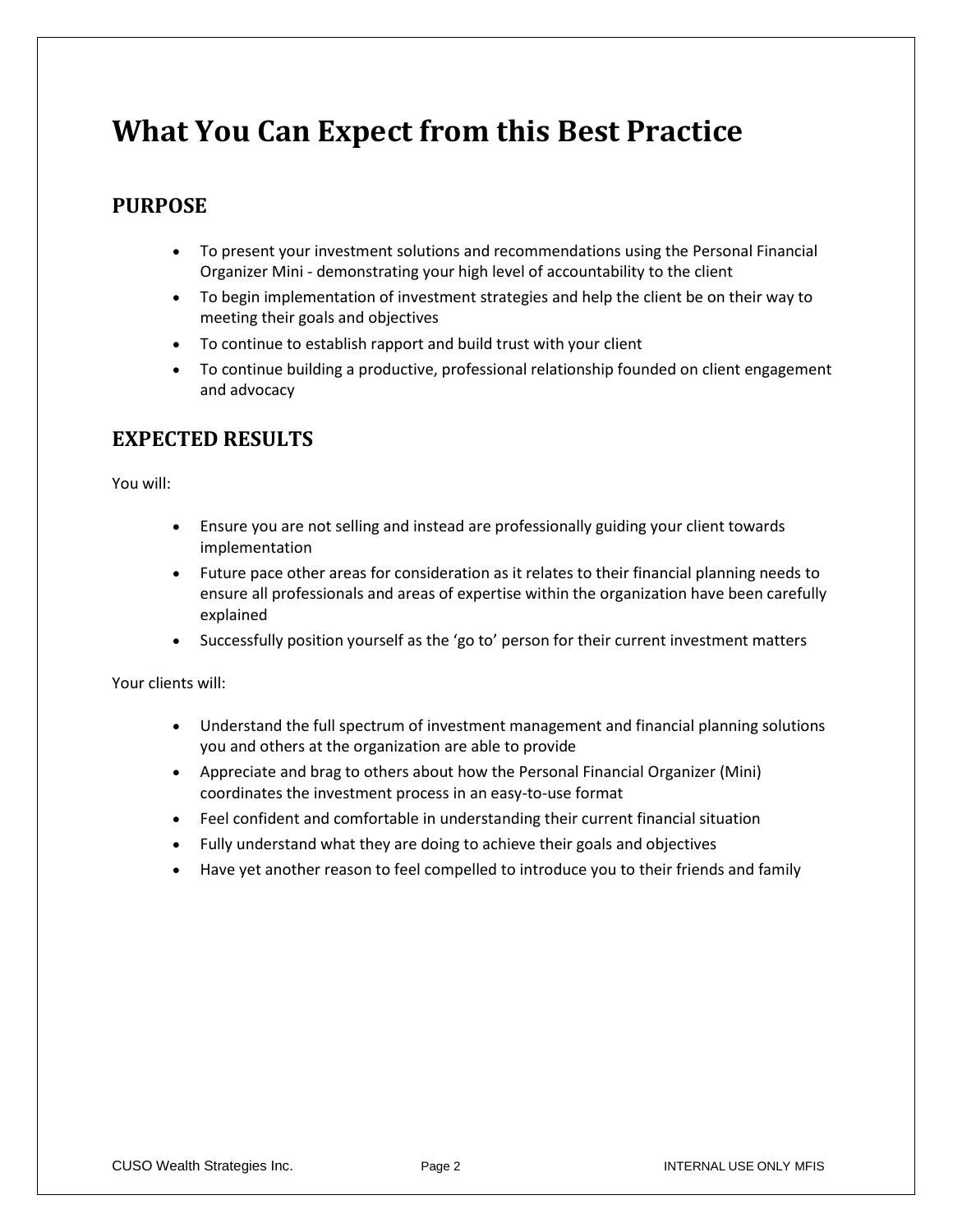## **What You Can Expect from this Best Practice**

### **PURPOSE**

- To present your investment solutions and recommendations using the Personal Financial Organizer Mini - demonstrating your high level of accountability to the client
- To begin implementation of investment strategies and help the client be on their way to meeting their goals and objectives
- To continue to establish rapport and build trust with your client
- To continue building a productive, professional relationship founded on client engagement and advocacy

### **EXPECTED RESULTS**

You will:

- Ensure you are not selling and instead are professionally guiding your client towards implementation
- Future pace other areas for consideration as it relates to their financial planning needs to ensure all professionals and areas of expertise within the organization have been carefully explained
- Successfully position yourself as the 'go to' person for their current investment matters

Your clients will:

- Understand the full spectrum of investment management and financial planning solutions you and others at the organization are able to provide
- Appreciate and brag to others about how the Personal Financial Organizer (Mini) coordinates the investment process in an easy-to-use format
- Feel confident and comfortable in understanding their current financial situation
- Fully understand what they are doing to achieve their goals and objectives
- Have yet another reason to feel compelled to introduce you to their friends and family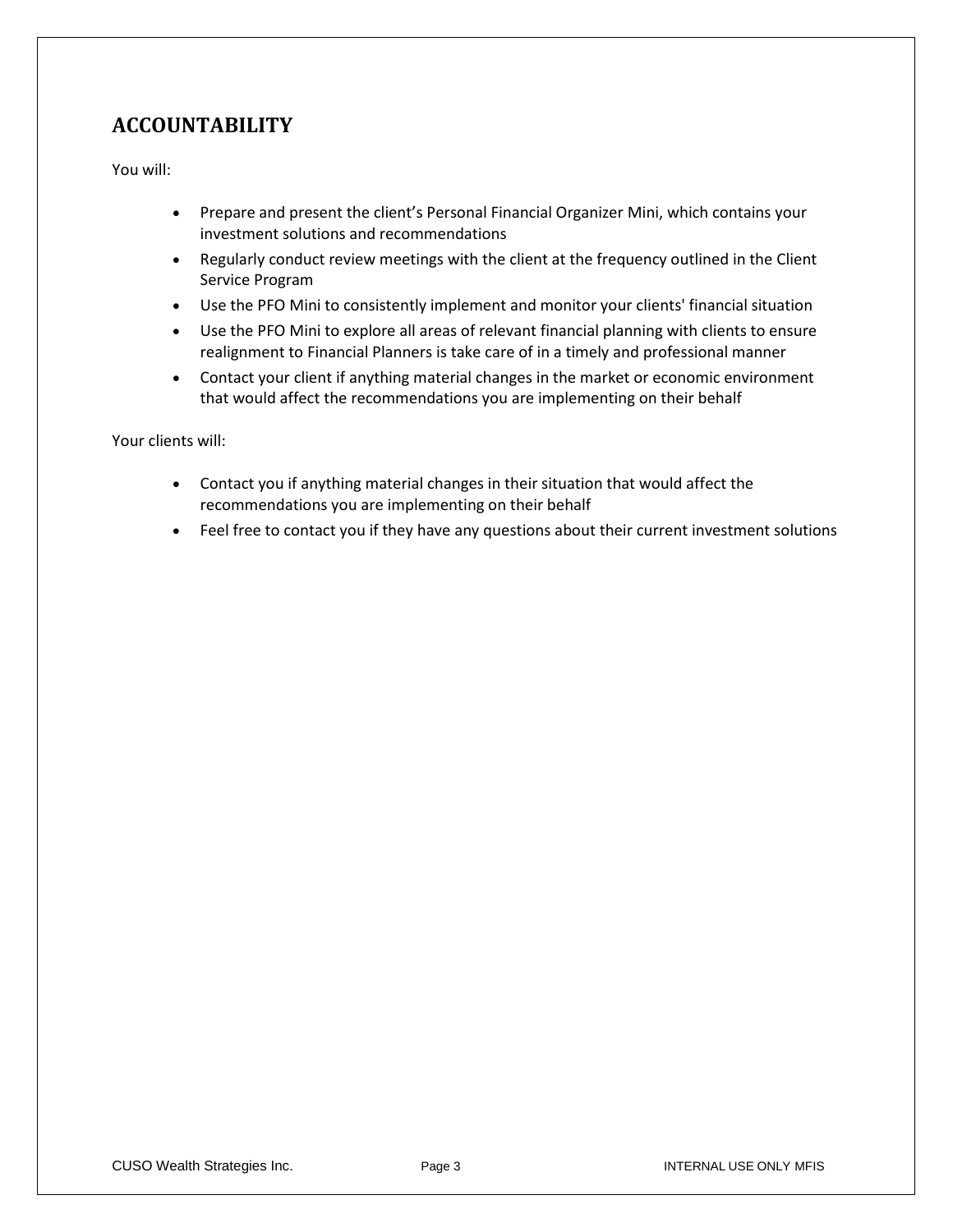### **ACCOUNTABILITY**

You will:

- Prepare and present the client's Personal Financial Organizer Mini, which contains your investment solutions and recommendations
- Regularly conduct review meetings with the client at the frequency outlined in the Client Service Program
- Use the PFO Mini to consistently implement and monitor your clients' financial situation
- Use the PFO Mini to explore all areas of relevant financial planning with clients to ensure realignment to Financial Planners is take care of in a timely and professional manner
- Contact your client if anything material changes in the market or economic environment that would affect the recommendations you are implementing on their behalf

Your clients will:

- Contact you if anything material changes in their situation that would affect the recommendations you are implementing on their behalf
- Feel free to contact you if they have any questions about their current investment solutions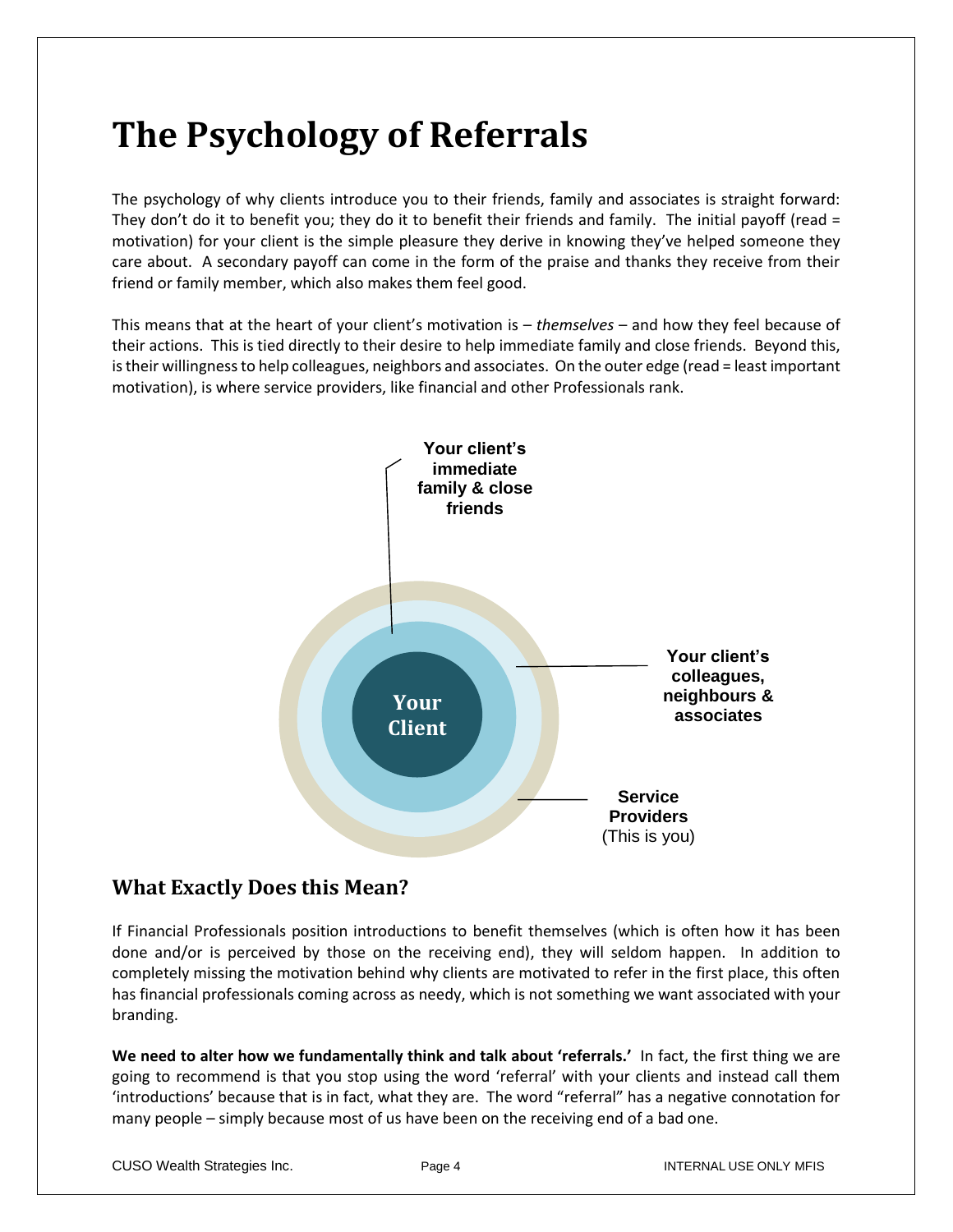# **The Psychology of Referrals**

The psychology of why clients introduce you to their friends, family and associates is straight forward: They don't do it to benefit you; they do it to benefit their friends and family. The initial payoff (read = motivation) for your client is the simple pleasure they derive in knowing they've helped someone they care about. A secondary payoff can come in the form of the praise and thanks they receive from their friend or family member, which also makes them feel good.

This means that at the heart of your client's motivation is – *themselves* – and how they feel because of their actions. This is tied directly to their desire to help immediate family and close friends. Beyond this, is their willingness to help colleagues, neighbors and associates. On the outer edge (read = least important motivation), is where service providers, like financial and other Professionals rank.



### **What Exactly Does this Mean?**

If Financial Professionals position introductions to benefit themselves (which is often how it has been done and/or is perceived by those on the receiving end), they will seldom happen. In addition to completely missing the motivation behind why clients are motivated to refer in the first place, this often has financial professionals coming across as needy, which is not something we want associated with your branding.

**We need to alter how we fundamentally think and talk about 'referrals.'** In fact, the first thing we are going to recommend is that you stop using the word 'referral' with your clients and instead call them 'introductions' because that is in fact, what they are. The word "referral" has a negative connotation for many people – simply because most of us have been on the receiving end of a bad one.

CUSO Wealth Strategies Inc. The Page 4 Page 4 Interval USE ONLY MFIS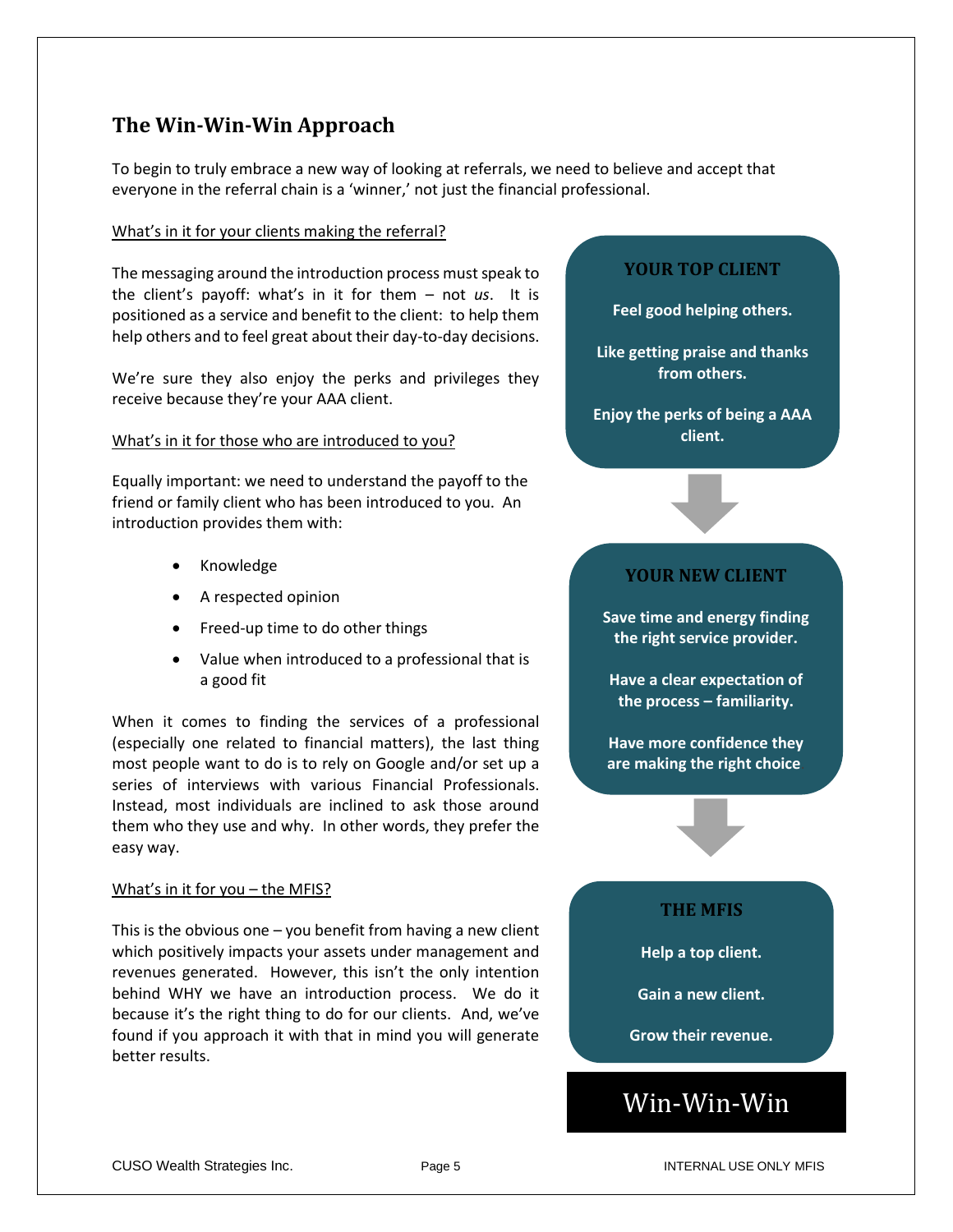### **The Win-Win-Win Approach**

To begin to truly embrace a new way of looking at referrals, we need to believe and accept that everyone in the referral chain is a 'winner,' not just the financial professional.

#### What's in it for your clients making the referral?

The messaging around the introduction process must speak to the client's payoff: what's in it for them – not *us*. It is positioned as a service and benefit to the client: to help them help others and to feel great about their day-to-day decisions.

We're sure they also enjoy the perks and privileges they receive because they're your AAA client.

#### What's in it for those who are introduced to you?

Equally important: we need to understand the payoff to the friend or family client who has been introduced to you. An introduction provides them with:

- Knowledge
- A respected opinion
- Freed-up time to do other things
- Value when introduced to a professional that is a good fit

When it comes to finding the services of a professional (especially one related to financial matters), the last thing most people want to do is to rely on Google and/or set up a series of interviews with various Financial Professionals. Instead, most individuals are inclined to ask those around them who they use and why. In other words, they prefer the easy way.

#### What's in it for you – the MFIS?

This is the obvious one  $-$  you benefit from having a new client which positively impacts your assets under management and revenues generated. However, this isn't the only intention behind WHY we have an introduction process. We do it because it's the right thing to do for our clients. And, we've found if you approach it with that in mind you will generate better results.

#### **YOUR TOP CLIENT**

**Feel good helping others.**

**Like getting praise and thanks from others.**

**Enjoy the perks of being a AAA client.**

#### **YOUR NEW CLIENT**

**Save time and energy finding the right service provider.**

**Have a clear expectation of the process – familiarity.**

**Have more confidence they are making the right choice**.

#### **THE MFIS**

**Help a top client.**

**Gain a new client.**

**Grow their revenue.**

## Win-Win-Win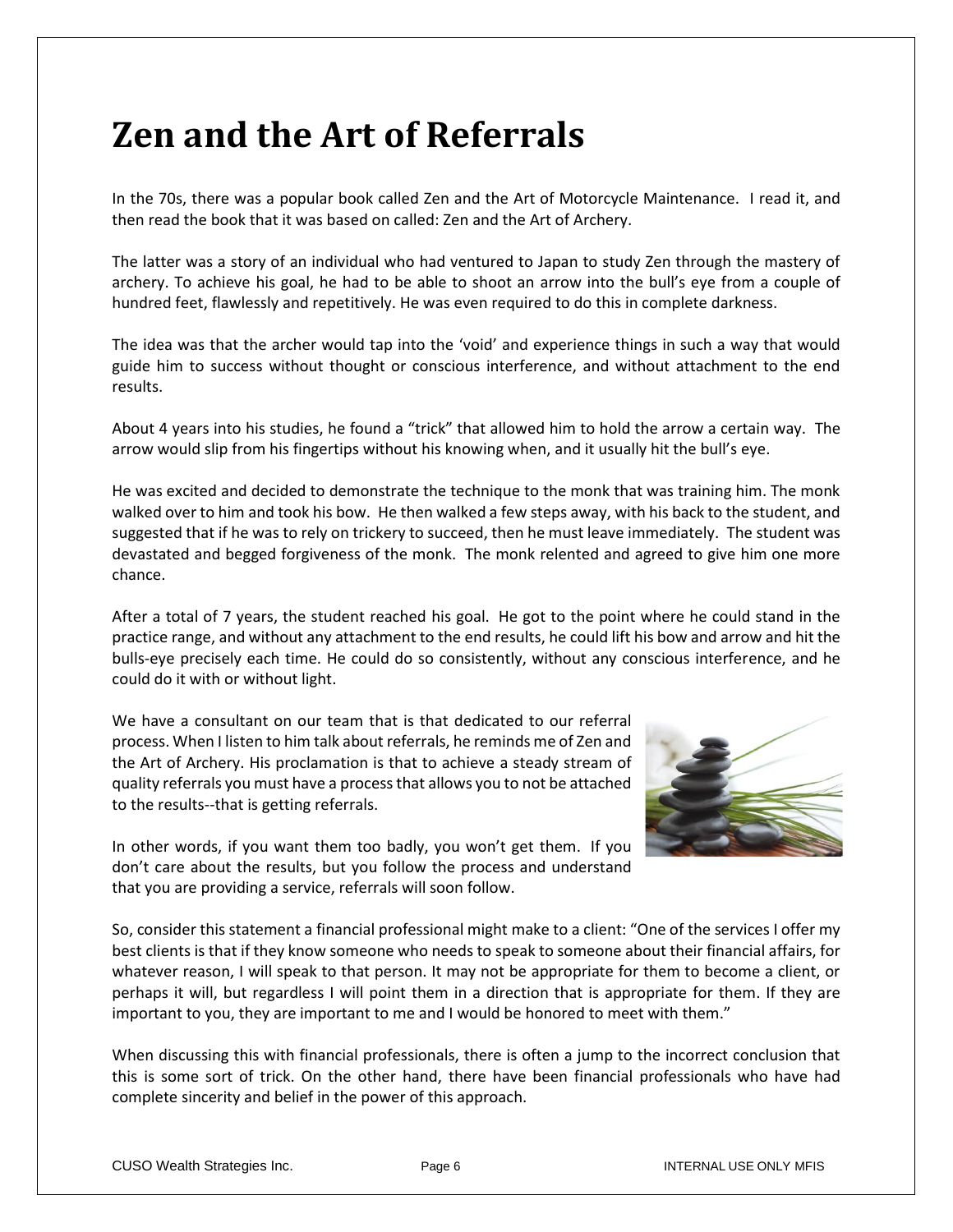# **Zen and the Art of Referrals**

In the 70s, there was a popular book called Zen and the Art of Motorcycle Maintenance. I read it, and then read the book that it was based on called: Zen and the Art of Archery.

The latter was a story of an individual who had ventured to Japan to study Zen through the mastery of archery. To achieve his goal, he had to be able to shoot an arrow into the bull's eye from a couple of hundred feet, flawlessly and repetitively. He was even required to do this in complete darkness.

The idea was that the archer would tap into the 'void' and experience things in such a way that would guide him to success without thought or conscious interference, and without attachment to the end results.

About 4 years into his studies, he found a "trick" that allowed him to hold the arrow a certain way. The arrow would slip from his fingertips without his knowing when, and it usually hit the bull's eye.

He was excited and decided to demonstrate the technique to the monk that was training him. The monk walked over to him and took his bow. He then walked a few steps away, with his back to the student, and suggested that if he was to rely on trickery to succeed, then he must leave immediately. The student was devastated and begged forgiveness of the monk. The monk relented and agreed to give him one more chance.

After a total of 7 years, the student reached his goal. He got to the point where he could stand in the practice range, and without any attachment to the end results, he could lift his bow and arrow and hit the bulls-eye precisely each time. He could do so consistently, without any conscious interference, and he could do it with or without light.

We have a consultant on our team that is that dedicated to our referral process. When I listen to him talk about referrals, he reminds me of Zen and the Art of Archery. His proclamation is that to achieve a steady stream of quality referrals you must have a process that allows you to not be attached to the results--that is getting referrals.



In other words, if you want them too badly, you won't get them. If you don't care about the results, but you follow the process and understand that you are providing a service, referrals will soon follow.

So, consider this statement a financial professional might make to a client: "One of the services I offer my best clients is that if they know someone who needs to speak to someone about their financial affairs, for whatever reason, I will speak to that person. It may not be appropriate for them to become a client, or perhaps it will, but regardless I will point them in a direction that is appropriate for them. If they are important to you, they are important to me and I would be honored to meet with them."

When discussing this with financial professionals, there is often a jump to the incorrect conclusion that this is some sort of trick. On the other hand, there have been financial professionals who have had complete sincerity and belief in the power of this approach.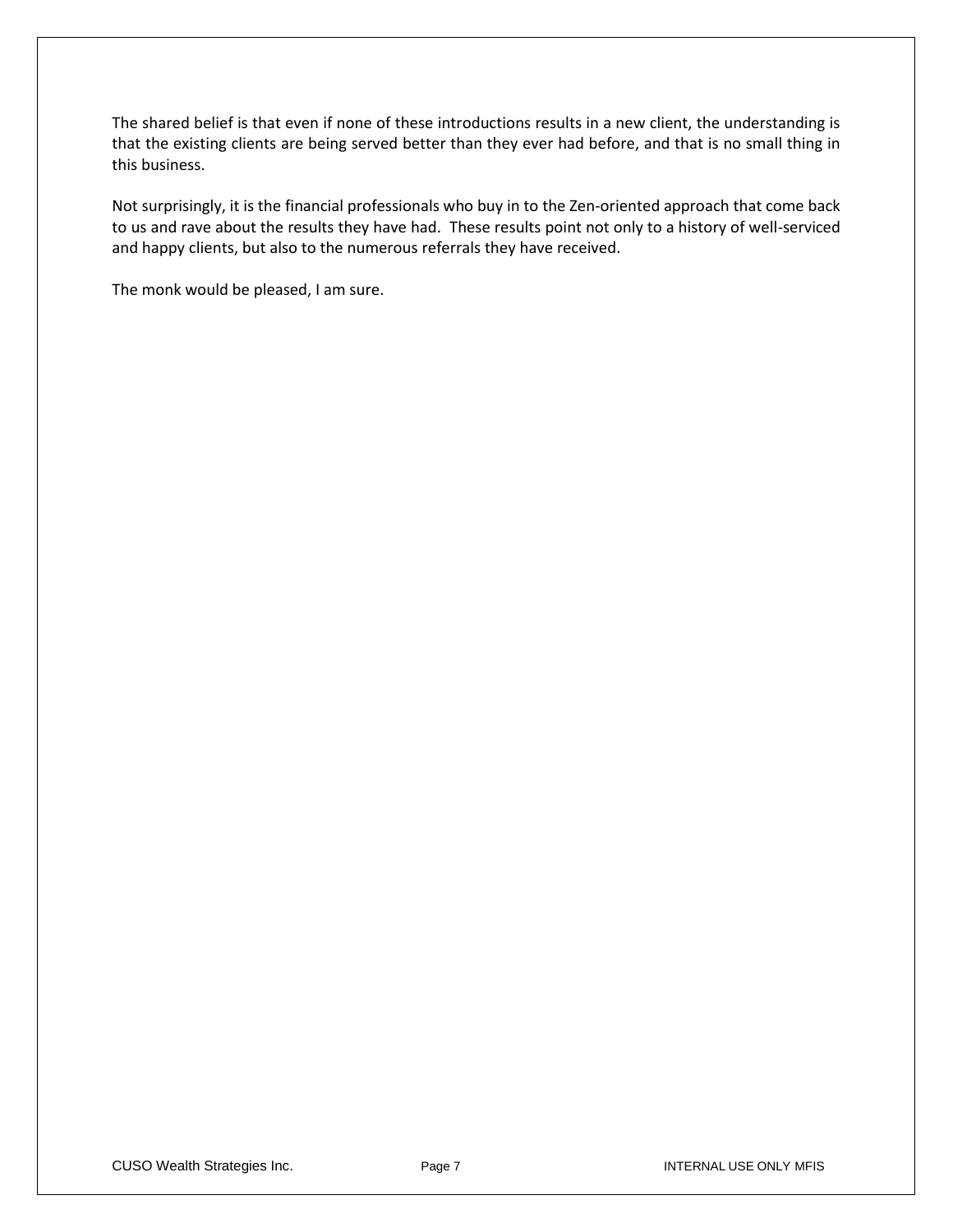The shared belief is that even if none of these introductions results in a new client, the understanding is that the existing clients are being served better than they ever had before, and that is no small thing in this business.

Not surprisingly, it is the financial professionals who buy in to the Zen-oriented approach that come back to us and rave about the results they have had. These results point not only to a history of well-serviced and happy clients, but also to the numerous referrals they have received.

The monk would be pleased, I am sure.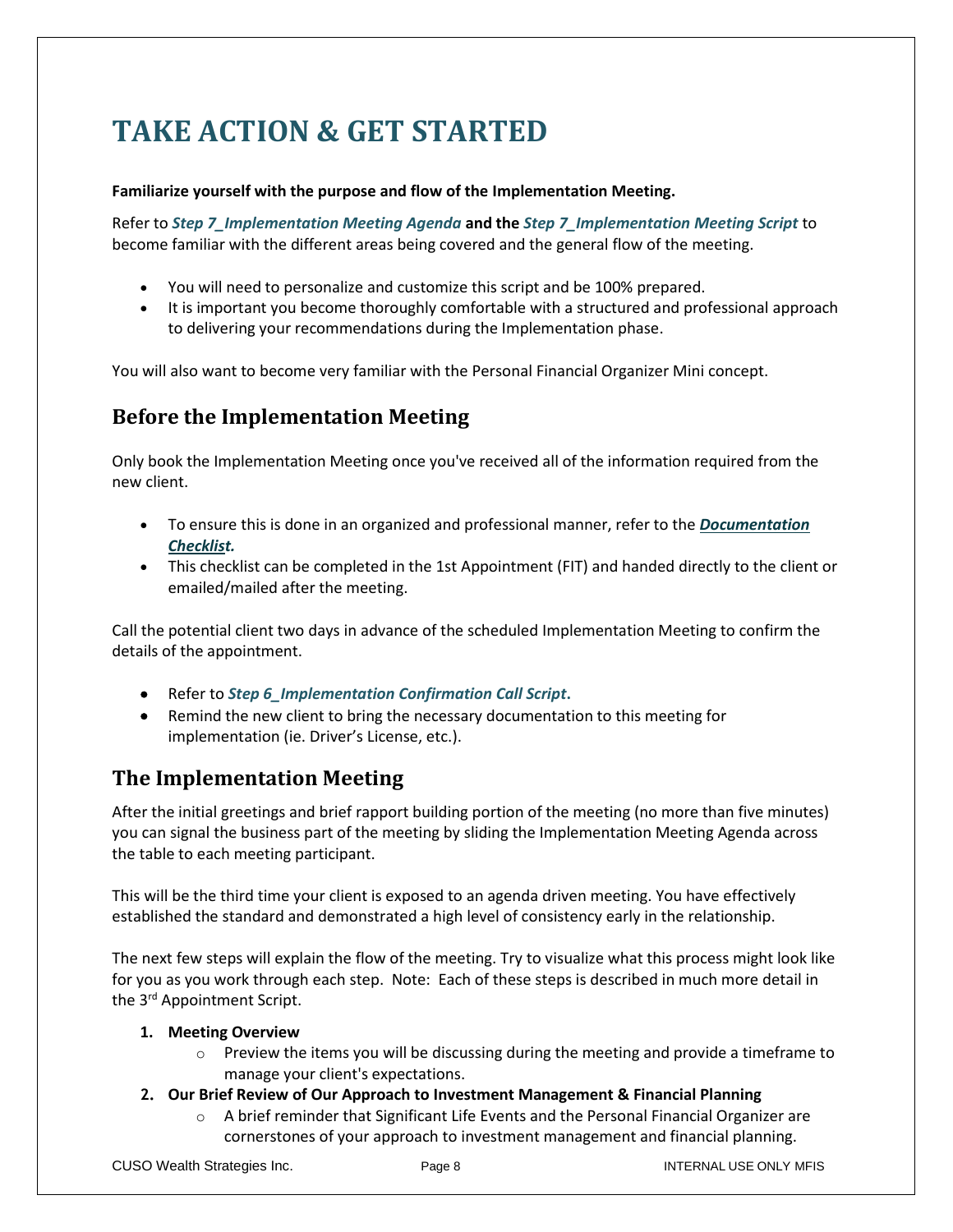# **TAKE ACTION & GET STARTED**

#### **Familiarize yourself with the purpose and flow of the Implementation Meeting.**

Refer to *Step 7\_Implementation Meeting Agenda* **and the** *Step 7\_Implementation Meeting Script* to become familiar with the different areas being covered and the general flow of the meeting.

- You will need to personalize and customize this script and be 100% prepared.
- It is important you become thoroughly comfortable with a structured and professional approach to delivering your recommendations during the Implementation phase.

You will also want to become very familiar with the Personal Financial Organizer Mini concept.

### **Before the Implementation Meeting**

Only book the Implementation Meeting once you've received all of the information required from the new client.

- To ensure this is done in an organized and professional manner, refer to the *Documentation Checklist.*
- This checklist can be completed in the 1st Appointment (FIT) and handed directly to the client or emailed/mailed after the meeting.

Call the potential client two days in advance of the scheduled Implementation Meeting to confirm the details of the appointment.

- Refer to *Step 6\_Implementation Confirmation Call Script***.**
- Remind the new client to bring the necessary documentation to this meeting for implementation (ie. Driver's License, etc.).

### **The Implementation Meeting**

After the initial greetings and brief rapport building portion of the meeting (no more than five minutes) you can signal the business part of the meeting by sliding the Implementation Meeting Agenda across the table to each meeting participant.

This will be the third time your client is exposed to an agenda driven meeting. You have effectively established the standard and demonstrated a high level of consistency early in the relationship.

The next few steps will explain the flow of the meeting. Try to visualize what this process might look like for you as you work through each step. Note: Each of these steps is described in much more detail in the 3<sup>rd</sup> Appointment Script.

#### **1. Meeting Overview**

- $\circ$  Preview the items you will be discussing during the meeting and provide a timeframe to manage your client's expectations.
- **2. Our Brief Review of Our Approach to Investment Management & Financial Planning**
	- $\circ$  A brief reminder that Significant Life Events and the Personal Financial Organizer are cornerstones of your approach to investment management and financial planning.

CUSO Wealth Strategies Inc. The Page 8 Intervention of the INTERNAL USE ONLY MFIS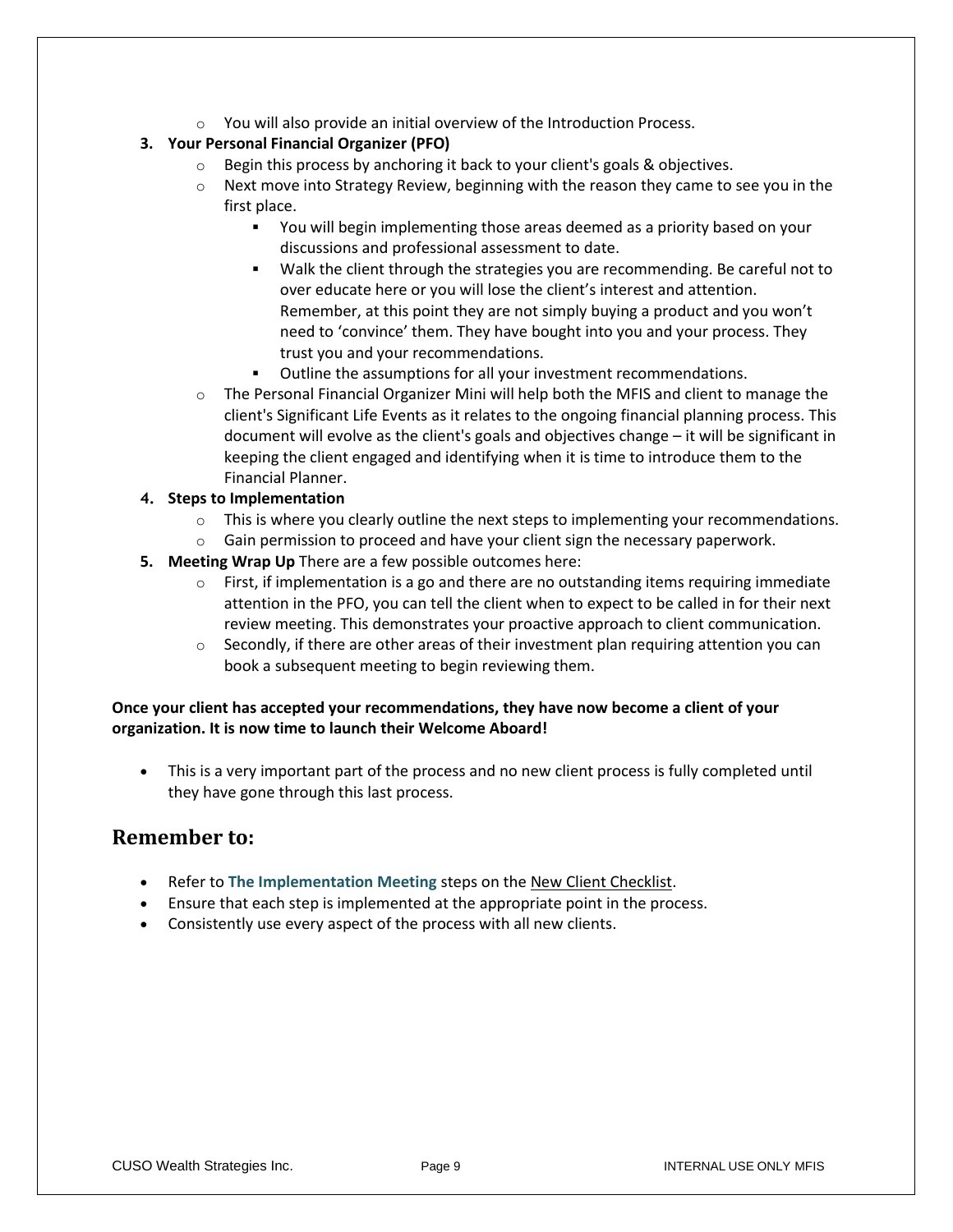$\circ$  You will also provide an initial overview of the Introduction Process.

#### **3. Your Personal Financial Organizer (PFO)**

- o Begin this process by anchoring it back to your client's goals & objectives.
- $\circ$  Next move into Strategy Review, beginning with the reason they came to see you in the first place.
	- You will begin implementing those areas deemed as a priority based on your discussions and professional assessment to date.
	- Walk the client through the strategies you are recommending. Be careful not to over educate here or you will lose the client's interest and attention. Remember, at this point they are not simply buying a product and you won't need to 'convince' them. They have bought into you and your process. They trust you and your recommendations.
	- Outline the assumptions for all your investment recommendations.
- $\circ$  The Personal Financial Organizer Mini will help both the MFIS and client to manage the client's Significant Life Events as it relates to the ongoing financial planning process. This document will evolve as the client's goals and objectives change – it will be significant in keeping the client engaged and identifying when it is time to introduce them to the Financial Planner.

#### **4. Steps to Implementation**

- $\circ$  This is where you clearly outline the next steps to implementing your recommendations.
- $\circ$  Gain permission to proceed and have your client sign the necessary paperwork.
- **5. Meeting Wrap Up** There are a few possible outcomes here:
	- $\circ$  First, if implementation is a go and there are no outstanding items requiring immediate attention in the PFO, you can tell the client when to expect to be called in for their next review meeting. This demonstrates your proactive approach to client communication.
	- $\circ$  Secondly, if there are other areas of their investment plan requiring attention you can book a subsequent meeting to begin reviewing them.

#### **Once your client has accepted your recommendations, they have now become a client of your organization. It is now time to launch their Welcome Aboard!**

• This is a very important part of the process and no new client process is fully completed until they have gone through this last process.

#### **Remember to:**

- Refer to **The Implementation Meeting** steps on the New Client Checklist.
- Ensure that each step is implemented at the appropriate point in the process.
- Consistently use every aspect of the process with all new clients.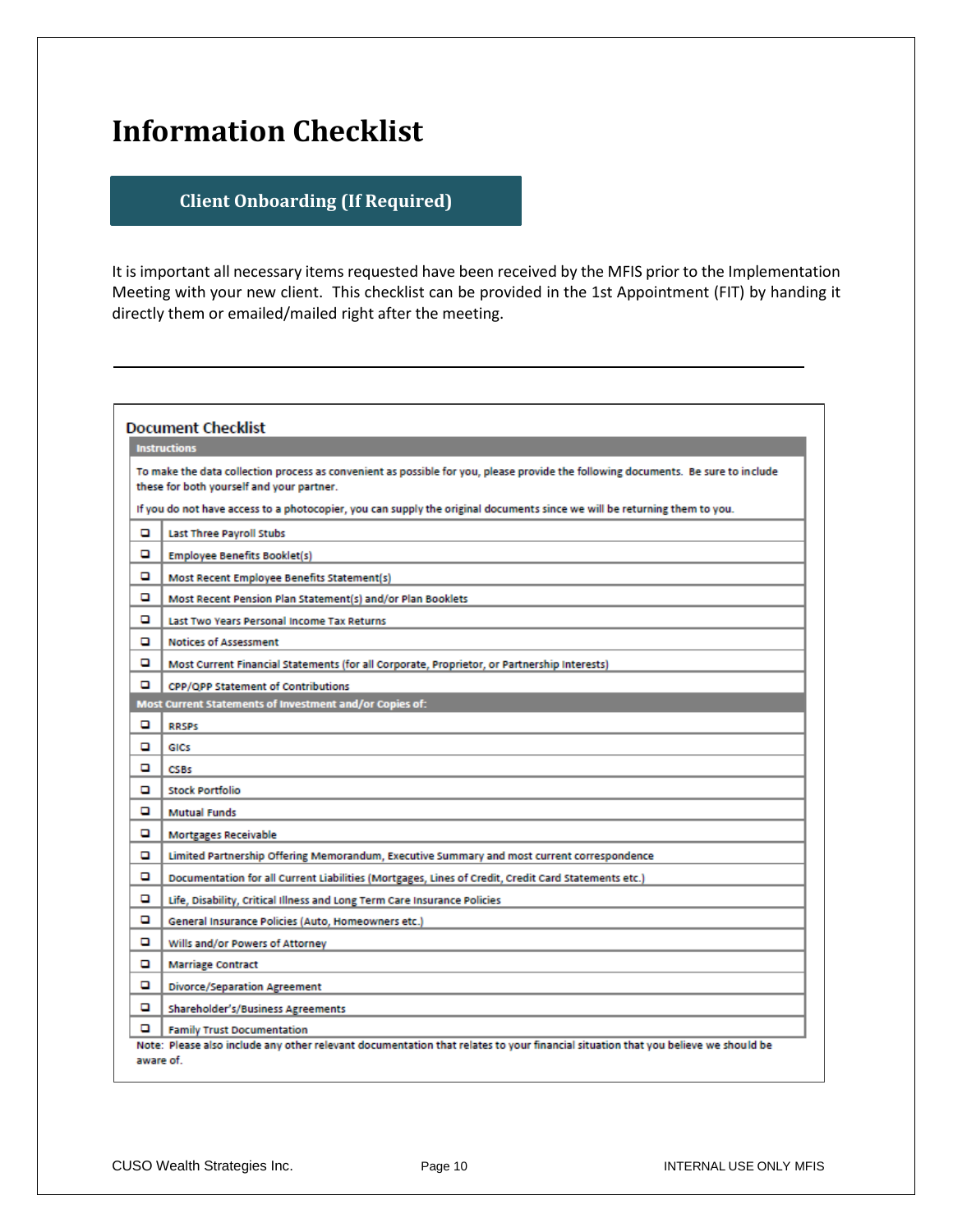## **Information Checklist**

#### **Client Onboarding (If Required)**

It is important all necessary items requested have been received by the MFIS prior to the Implementation Meeting with your new client. This checklist can be provided in the 1st Appointment (FIT) by handing it directly them or emailed/mailed right after the meeting.

| <b>Instructions</b><br>To make the data collection process as convenient as possible for you, please provide the following documents. Be sure to include<br>these for both yourself and your partner.<br>If you do not have access to a photocopier, you can supply the original documents since we will be returning them to you.<br><b>Last Three Payroll Stubs</b><br>o<br>o<br><b>Employee Benefits Booklet(s)</b><br>o<br>Most Recent Employee Benefits Statement(s)<br>o<br>Most Recent Pension Plan Statement(s) and/or Plan Booklets<br>o<br>Last Two Years Personal Income Tax Returns<br><b>Notices of Assessment</b><br>o<br>ם<br>Most Current Financial Statements (for all Corporate, Proprietor, or Partnership Interests)<br>o<br><b>CPP/OPP Statement of Contributions</b><br>Most Current Statements of Investment and/or Copies of:<br>o<br><b>RRSPS</b><br>o<br>GICS<br>o<br><b>CSBs</b><br><b>Stock Portfolio</b><br>o<br>o<br><b>Mutual Funds</b><br>o<br><b>Mortgages Receivable</b><br>Limited Partnership Offering Memorandum, Executive Summary and most current correspondence<br>o<br>o<br>Documentation for all Current Liabilities (Mortgages, Lines of Credit, Credit Card Statements etc.)<br>o<br>Life, Disability, Critical Illness and Long Term Care Insurance Policies<br>ם<br>General Insurance Policies (Auto, Homeowners etc.)<br>o<br>Wills and/or Powers of Attorney<br>o<br><b>Marriage Contract</b><br>o<br><b>Divorce/Separation Agreement</b><br>o<br>Shareholder's/Business Agreements |  | <b>Document Checklist</b> |  |
|--------------------------------------------------------------------------------------------------------------------------------------------------------------------------------------------------------------------------------------------------------------------------------------------------------------------------------------------------------------------------------------------------------------------------------------------------------------------------------------------------------------------------------------------------------------------------------------------------------------------------------------------------------------------------------------------------------------------------------------------------------------------------------------------------------------------------------------------------------------------------------------------------------------------------------------------------------------------------------------------------------------------------------------------------------------------------------------------------------------------------------------------------------------------------------------------------------------------------------------------------------------------------------------------------------------------------------------------------------------------------------------------------------------------------------------------------------------------------------------------------------------------------------------|--|---------------------------|--|
|                                                                                                                                                                                                                                                                                                                                                                                                                                                                                                                                                                                                                                                                                                                                                                                                                                                                                                                                                                                                                                                                                                                                                                                                                                                                                                                                                                                                                                                                                                                                      |  |                           |  |
|                                                                                                                                                                                                                                                                                                                                                                                                                                                                                                                                                                                                                                                                                                                                                                                                                                                                                                                                                                                                                                                                                                                                                                                                                                                                                                                                                                                                                                                                                                                                      |  |                           |  |
|                                                                                                                                                                                                                                                                                                                                                                                                                                                                                                                                                                                                                                                                                                                                                                                                                                                                                                                                                                                                                                                                                                                                                                                                                                                                                                                                                                                                                                                                                                                                      |  |                           |  |
|                                                                                                                                                                                                                                                                                                                                                                                                                                                                                                                                                                                                                                                                                                                                                                                                                                                                                                                                                                                                                                                                                                                                                                                                                                                                                                                                                                                                                                                                                                                                      |  |                           |  |
|                                                                                                                                                                                                                                                                                                                                                                                                                                                                                                                                                                                                                                                                                                                                                                                                                                                                                                                                                                                                                                                                                                                                                                                                                                                                                                                                                                                                                                                                                                                                      |  |                           |  |
|                                                                                                                                                                                                                                                                                                                                                                                                                                                                                                                                                                                                                                                                                                                                                                                                                                                                                                                                                                                                                                                                                                                                                                                                                                                                                                                                                                                                                                                                                                                                      |  |                           |  |
|                                                                                                                                                                                                                                                                                                                                                                                                                                                                                                                                                                                                                                                                                                                                                                                                                                                                                                                                                                                                                                                                                                                                                                                                                                                                                                                                                                                                                                                                                                                                      |  |                           |  |
|                                                                                                                                                                                                                                                                                                                                                                                                                                                                                                                                                                                                                                                                                                                                                                                                                                                                                                                                                                                                                                                                                                                                                                                                                                                                                                                                                                                                                                                                                                                                      |  |                           |  |
|                                                                                                                                                                                                                                                                                                                                                                                                                                                                                                                                                                                                                                                                                                                                                                                                                                                                                                                                                                                                                                                                                                                                                                                                                                                                                                                                                                                                                                                                                                                                      |  |                           |  |
|                                                                                                                                                                                                                                                                                                                                                                                                                                                                                                                                                                                                                                                                                                                                                                                                                                                                                                                                                                                                                                                                                                                                                                                                                                                                                                                                                                                                                                                                                                                                      |  |                           |  |
|                                                                                                                                                                                                                                                                                                                                                                                                                                                                                                                                                                                                                                                                                                                                                                                                                                                                                                                                                                                                                                                                                                                                                                                                                                                                                                                                                                                                                                                                                                                                      |  |                           |  |
|                                                                                                                                                                                                                                                                                                                                                                                                                                                                                                                                                                                                                                                                                                                                                                                                                                                                                                                                                                                                                                                                                                                                                                                                                                                                                                                                                                                                                                                                                                                                      |  |                           |  |
|                                                                                                                                                                                                                                                                                                                                                                                                                                                                                                                                                                                                                                                                                                                                                                                                                                                                                                                                                                                                                                                                                                                                                                                                                                                                                                                                                                                                                                                                                                                                      |  |                           |  |
|                                                                                                                                                                                                                                                                                                                                                                                                                                                                                                                                                                                                                                                                                                                                                                                                                                                                                                                                                                                                                                                                                                                                                                                                                                                                                                                                                                                                                                                                                                                                      |  |                           |  |
|                                                                                                                                                                                                                                                                                                                                                                                                                                                                                                                                                                                                                                                                                                                                                                                                                                                                                                                                                                                                                                                                                                                                                                                                                                                                                                                                                                                                                                                                                                                                      |  |                           |  |
|                                                                                                                                                                                                                                                                                                                                                                                                                                                                                                                                                                                                                                                                                                                                                                                                                                                                                                                                                                                                                                                                                                                                                                                                                                                                                                                                                                                                                                                                                                                                      |  |                           |  |
|                                                                                                                                                                                                                                                                                                                                                                                                                                                                                                                                                                                                                                                                                                                                                                                                                                                                                                                                                                                                                                                                                                                                                                                                                                                                                                                                                                                                                                                                                                                                      |  |                           |  |
|                                                                                                                                                                                                                                                                                                                                                                                                                                                                                                                                                                                                                                                                                                                                                                                                                                                                                                                                                                                                                                                                                                                                                                                                                                                                                                                                                                                                                                                                                                                                      |  |                           |  |
|                                                                                                                                                                                                                                                                                                                                                                                                                                                                                                                                                                                                                                                                                                                                                                                                                                                                                                                                                                                                                                                                                                                                                                                                                                                                                                                                                                                                                                                                                                                                      |  |                           |  |
|                                                                                                                                                                                                                                                                                                                                                                                                                                                                                                                                                                                                                                                                                                                                                                                                                                                                                                                                                                                                                                                                                                                                                                                                                                                                                                                                                                                                                                                                                                                                      |  |                           |  |
|                                                                                                                                                                                                                                                                                                                                                                                                                                                                                                                                                                                                                                                                                                                                                                                                                                                                                                                                                                                                                                                                                                                                                                                                                                                                                                                                                                                                                                                                                                                                      |  |                           |  |
|                                                                                                                                                                                                                                                                                                                                                                                                                                                                                                                                                                                                                                                                                                                                                                                                                                                                                                                                                                                                                                                                                                                                                                                                                                                                                                                                                                                                                                                                                                                                      |  |                           |  |
|                                                                                                                                                                                                                                                                                                                                                                                                                                                                                                                                                                                                                                                                                                                                                                                                                                                                                                                                                                                                                                                                                                                                                                                                                                                                                                                                                                                                                                                                                                                                      |  |                           |  |
|                                                                                                                                                                                                                                                                                                                                                                                                                                                                                                                                                                                                                                                                                                                                                                                                                                                                                                                                                                                                                                                                                                                                                                                                                                                                                                                                                                                                                                                                                                                                      |  |                           |  |
|                                                                                                                                                                                                                                                                                                                                                                                                                                                                                                                                                                                                                                                                                                                                                                                                                                                                                                                                                                                                                                                                                                                                                                                                                                                                                                                                                                                                                                                                                                                                      |  |                           |  |
|                                                                                                                                                                                                                                                                                                                                                                                                                                                                                                                                                                                                                                                                                                                                                                                                                                                                                                                                                                                                                                                                                                                                                                                                                                                                                                                                                                                                                                                                                                                                      |  |                           |  |
| o<br><b>Family Trust Documentation</b>                                                                                                                                                                                                                                                                                                                                                                                                                                                                                                                                                                                                                                                                                                                                                                                                                                                                                                                                                                                                                                                                                                                                                                                                                                                                                                                                                                                                                                                                                               |  |                           |  |
| Note: Please also include any other relevant documentation that relates to your financial situation that you believe we should be<br>aware of.                                                                                                                                                                                                                                                                                                                                                                                                                                                                                                                                                                                                                                                                                                                                                                                                                                                                                                                                                                                                                                                                                                                                                                                                                                                                                                                                                                                       |  |                           |  |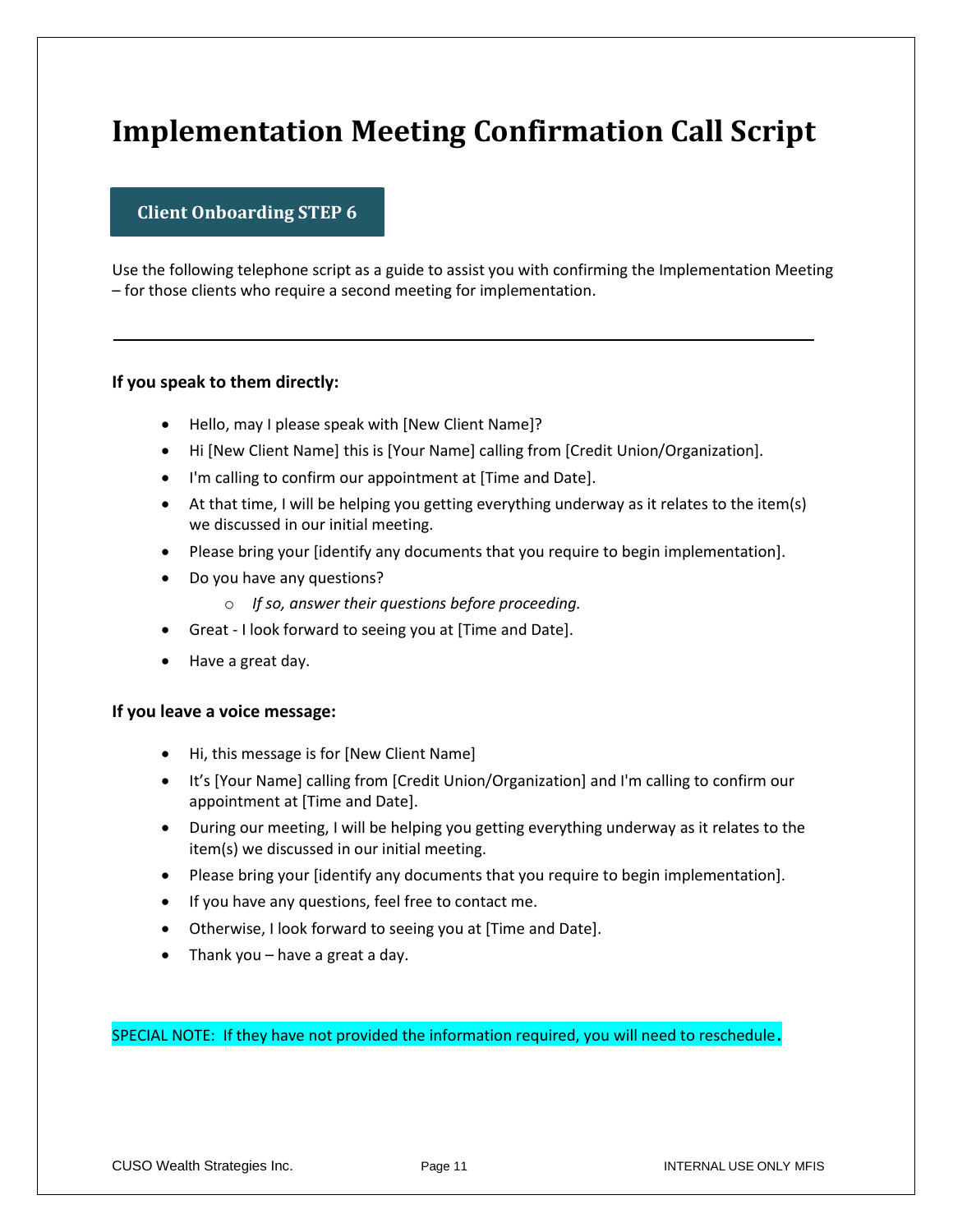## **Implementation Meeting Confirmation Call Script**

#### **Client Onboarding STEP 6**

Use the following telephone script as a guide to assist you with confirming the Implementation Meeting – for those clients who require a second meeting for implementation.

#### **If you speak to them directly:**

- Hello, may I please speak with [New Client Name]?
- Hi [New Client Name] this is [Your Name] calling from [Credit Union/Organization].
- I'm calling to confirm our appointment at [Time and Date].
- At that time, I will be helping you getting everything underway as it relates to the item(s) we discussed in our initial meeting.
- Please bring your [identify any documents that you require to begin implementation].
- Do you have any questions?
	- o *If so, answer their questions before proceeding.*
- Great I look forward to seeing you at [Time and Date].
- Have a great day.

#### **If you leave a voice message:**

- Hi, this message is for [New Client Name]
- It's [Your Name] calling from [Credit Union/Organization] and I'm calling to confirm our appointment at [Time and Date].
- During our meeting, I will be helping you getting everything underway as it relates to the item(s) we discussed in our initial meeting.
- Please bring your [identify any documents that you require to begin implementation].
- If you have any questions, feel free to contact me.
- Otherwise, I look forward to seeing you at [Time and Date].
- Thank you have a great a day.

SPECIAL NOTE: If they have not provided the information required, you will need to reschedule.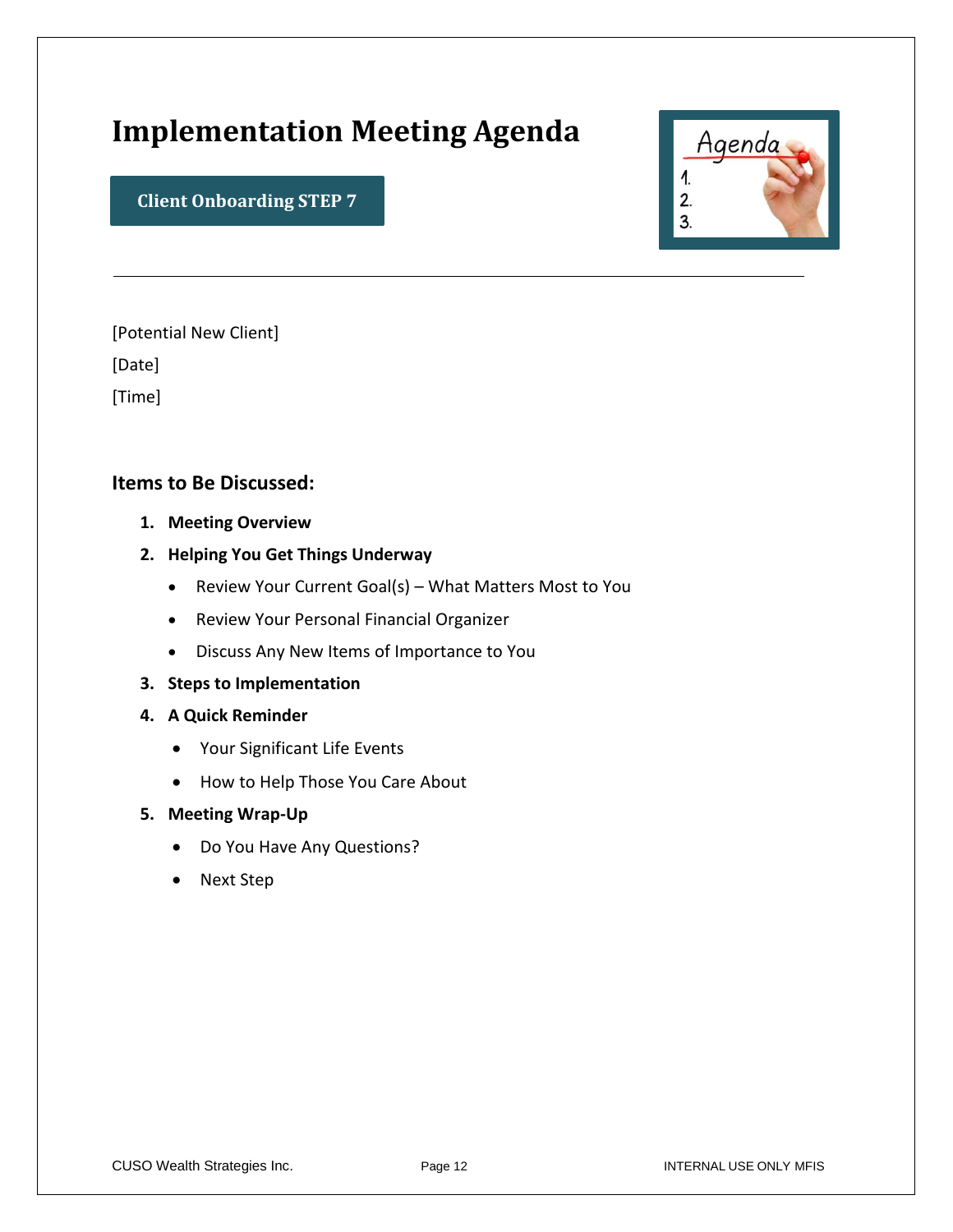## **Implementation Meeting Agenda**



**Client Onboarding STEP 7**

[Potential New Client]

[Date]

[Time]

#### **Items to Be Discussed:**

- **1. Meeting Overview**
- **2. Helping You Get Things Underway**
	- Review Your Current Goal(s) What Matters Most to You
	- Review Your Personal Financial Organizer
	- Discuss Any New Items of Importance to You
- **3. Steps to Implementation**
- **4. A Quick Reminder** 
	- Your Significant Life Events
	- How to Help Those You Care About
- **5. Meeting Wrap-Up**
	- Do You Have Any Questions?
	- Next Step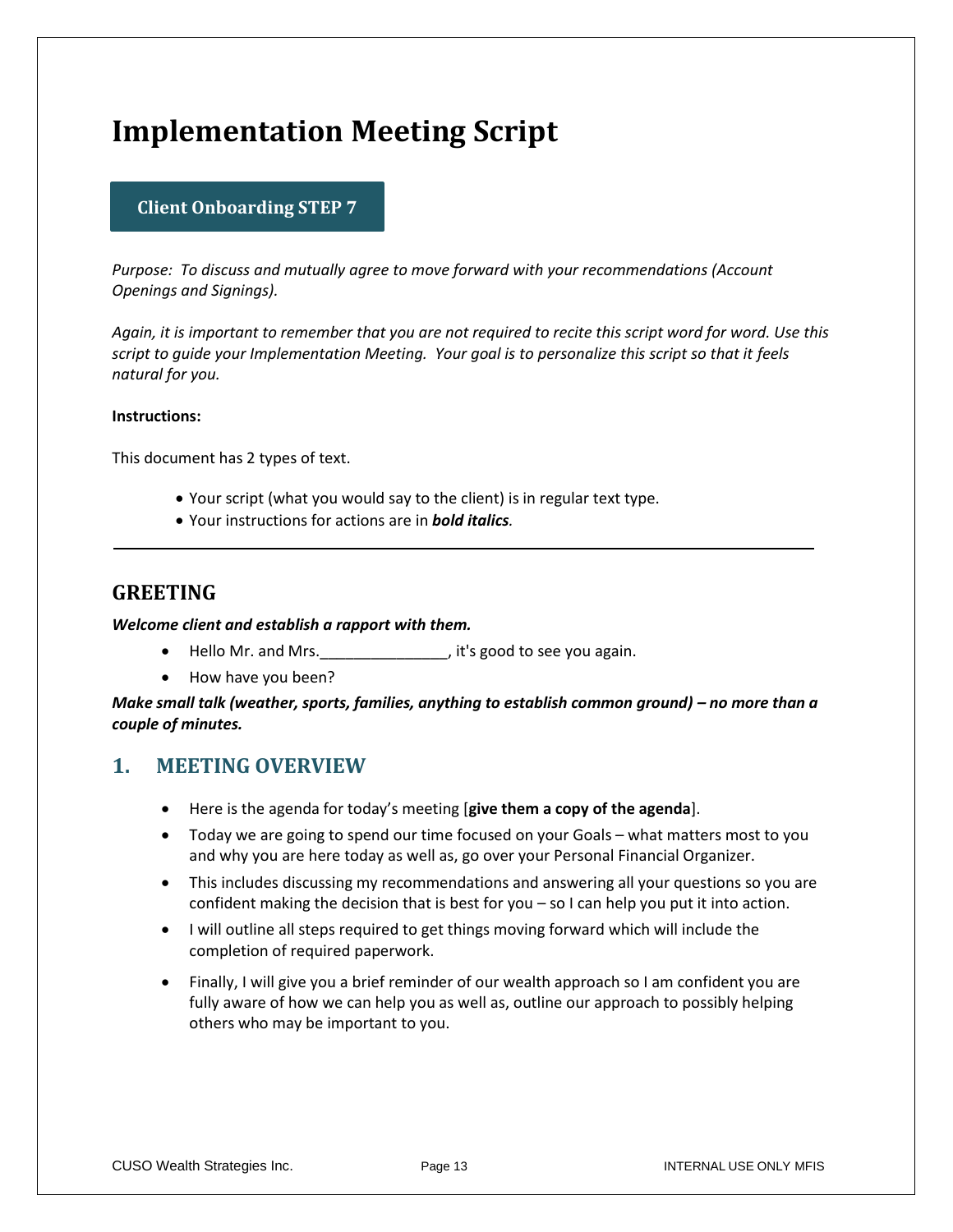## **Implementation Meeting Script**

#### **Client Onboarding STEP 7**

*Purpose: To discuss and mutually agree to move forward with your recommendations (Account Openings and Signings).*

*Again, it is important to remember that you are not required to recite this script word for word. Use this script to guide your Implementation Meeting. Your goal is to personalize this script so that it feels natural for you.*

#### **Instructions:**

This document has 2 types of text.

- Your script (what you would say to the client) is in regular text type.
- Your instructions for actions are in *bold italics.*

#### **GREETING**

#### *Welcome client and establish a rapport with them.*

- Hello Mr. and Mrs.\_\_\_\_\_\_\_\_\_\_\_\_\_\_\_, it's good to see you again.
- How have you been?

*Make small talk (weather, sports, families, anything to establish common ground) – no more than a couple of minutes.* 

#### **1. MEETING OVERVIEW**

- Here is the agenda for today's meeting [**give them a copy of the agenda**].
- Today we are going to spend our time focused on your Goals what matters most to you and why you are here today as well as, go over your Personal Financial Organizer.
- This includes discussing my recommendations and answering all your questions so you are confident making the decision that is best for you – so I can help you put it into action.
- I will outline all steps required to get things moving forward which will include the completion of required paperwork.
- Finally, I will give you a brief reminder of our wealth approach so I am confident you are fully aware of how we can help you as well as, outline our approach to possibly helping others who may be important to you.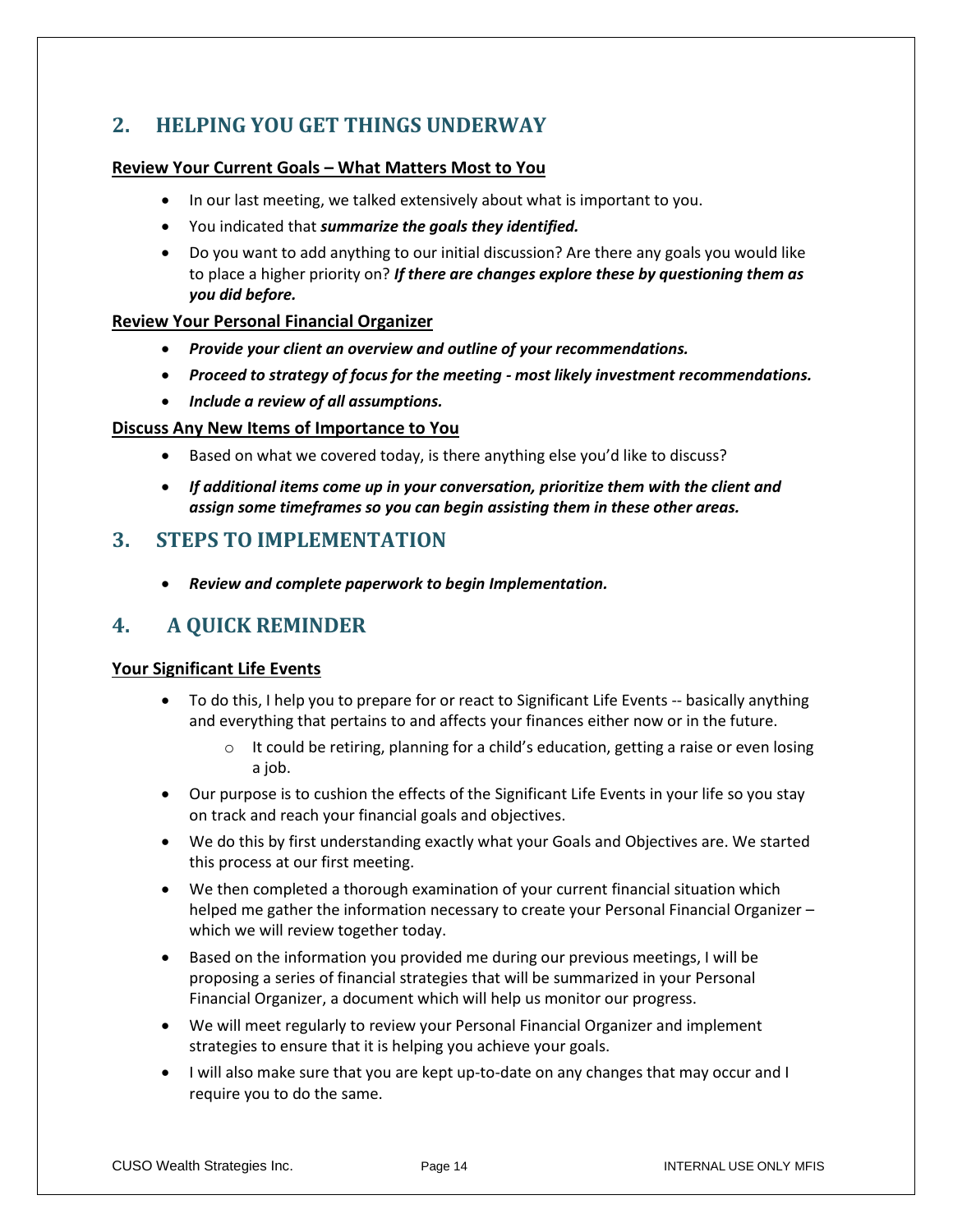### **2. HELPING YOU GET THINGS UNDERWAY**

#### **Review Your Current Goals – What Matters Most to You**

- In our last meeting, we talked extensively about what is important to you.
- You indicated that *summarize the goals they identified.*
- Do you want to add anything to our initial discussion? Are there any goals you would like to place a higher priority on? *If there are changes explore these by questioning them as you did before.*

#### **Review Your Personal Financial Organizer**

- *Provide your client an overview and outline of your recommendations.*
- *Proceed to strategy of focus for the meeting - most likely investment recommendations.*
- *Include a review of all assumptions.*

#### **Discuss Any New Items of Importance to You**

- Based on what we covered today, is there anything else you'd like to discuss?
- *If additional items come up in your conversation, prioritize them with the client and assign some timeframes so you can begin assisting them in these other areas.*

#### **3. STEPS TO IMPLEMENTATION**

• *Review and complete paperwork to begin Implementation.*

#### **4. A QUICK REMINDER**

#### **Your Significant Life Events**

- To do this, I help you to prepare for or react to Significant Life Events -- basically anything and everything that pertains to and affects your finances either now or in the future.
	- $\circ$  It could be retiring, planning for a child's education, getting a raise or even losing a job.
- Our purpose is to cushion the effects of the Significant Life Events in your life so you stay on track and reach your financial goals and objectives.
- We do this by first understanding exactly what your Goals and Objectives are. We started this process at our first meeting.
- We then completed a thorough examination of your current financial situation which helped me gather the information necessary to create your Personal Financial Organizer – which we will review together today.
- Based on the information you provided me during our previous meetings, I will be proposing a series of financial strategies that will be summarized in your Personal Financial Organizer, a document which will help us monitor our progress.
- We will meet regularly to review your Personal Financial Organizer and implement strategies to ensure that it is helping you achieve your goals.
- I will also make sure that you are kept up-to-date on any changes that may occur and I require you to do the same.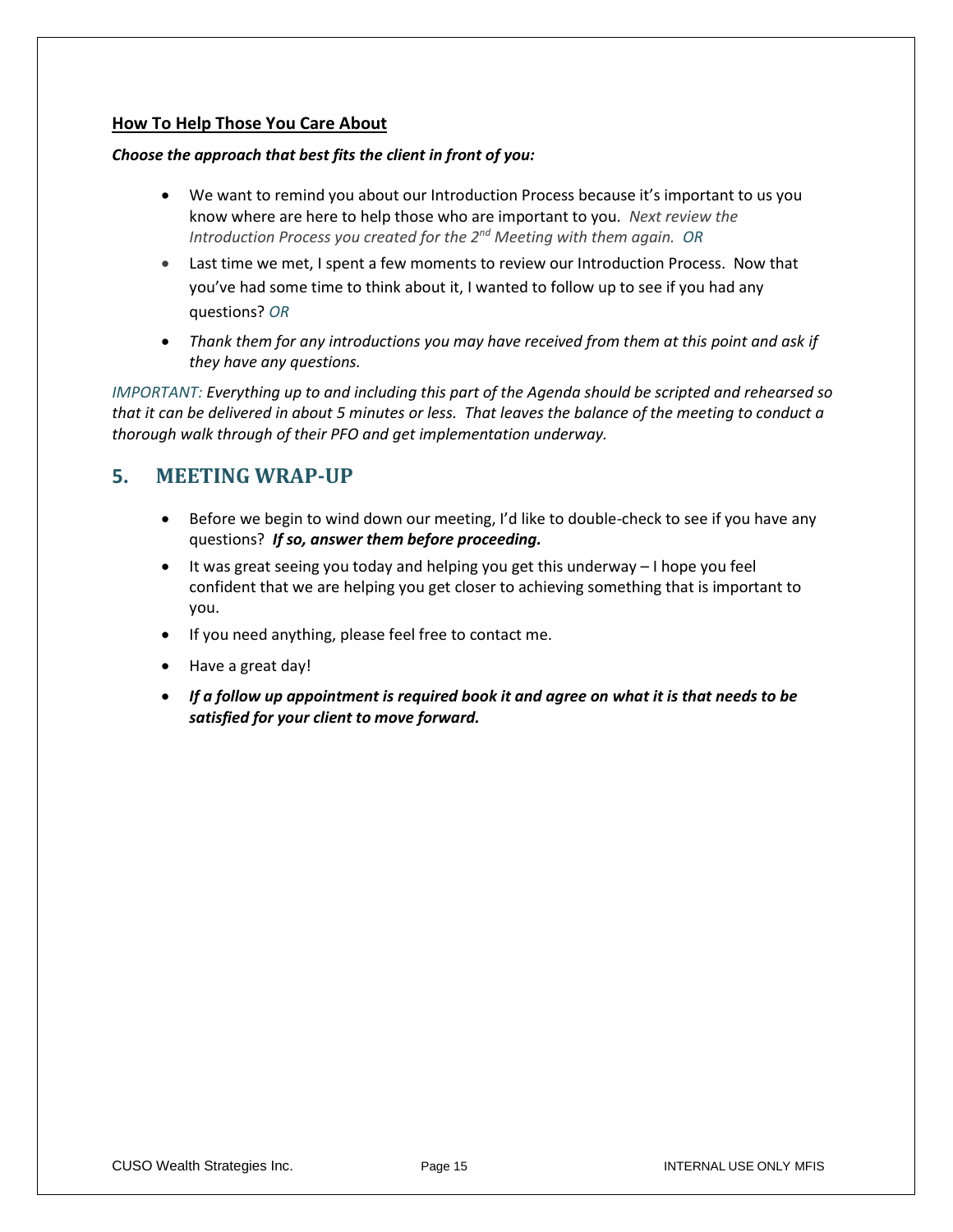#### **How To Help Those You Care About**

#### *Choose the approach that best fits the client in front of you:*

- We want to remind you about our Introduction Process because it's important to us you know where are here to help those who are important to you. *Next review the Introduction Process you created for the 2nd Meeting with them again. OR*
- Last time we met, I spent a few moments to review our Introduction Process. Now that you've had some time to think about it, I wanted to follow up to see if you had any questions? *OR*
- Thank them for any introductions you may have received from them at this point and ask if *they have any questions.*

*IMPORTANT: Everything up to and including this part of the Agenda should be scripted and rehearsed so that it can be delivered in about 5 minutes or less. That leaves the balance of the meeting to conduct a thorough walk through of their PFO and get implementation underway.*

#### **5. MEETING WRAP-UP**

- Before we begin to wind down our meeting, I'd like to double-check to see if you have any questions? *If so, answer them before proceeding.*
- It was great seeing you today and helping you get this underway I hope you feel confident that we are helping you get closer to achieving something that is important to you.
- If you need anything, please feel free to contact me.
- Have a great day!
- *If a follow up appointment is required book it and agree on what it is that needs to be satisfied for your client to move forward.*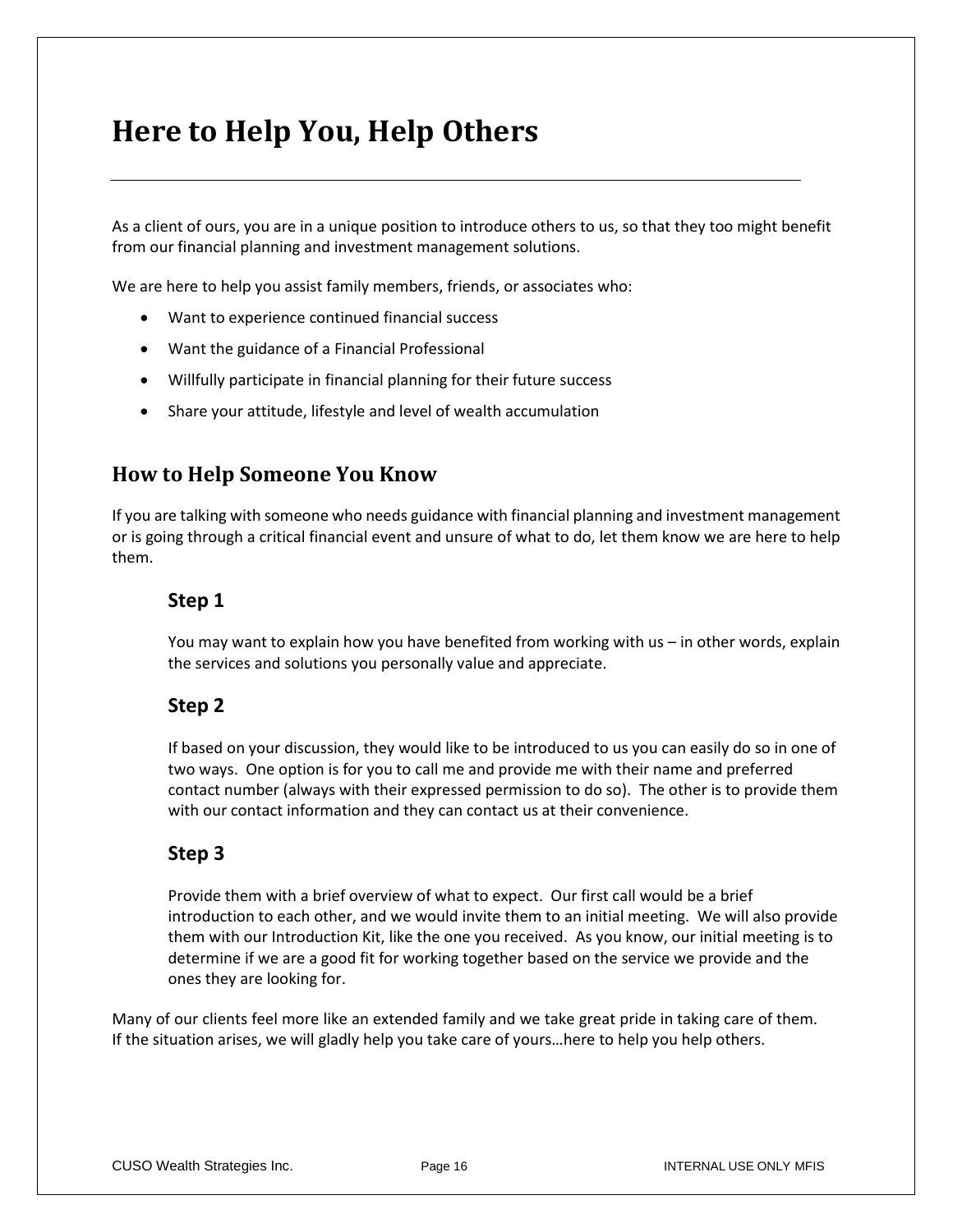## **Here to Help You, Help Others**

As a client of ours, you are in a unique position to introduce others to us, so that they too might benefit from our financial planning and investment management solutions.

We are here to help you assist family members, friends, or associates who:

- Want to experience continued financial success
- Want the guidance of a Financial Professional
- Willfully participate in financial planning for their future success
- Share your attitude, lifestyle and level of wealth accumulation

#### **How to Help Someone You Know**

If you are talking with someone who needs guidance with financial planning and investment management or is going through a critical financial event and unsure of what to do, let them know we are here to help them.

#### **Step 1**

You may want to explain how you have benefited from working with us – in other words, explain the services and solutions you personally value and appreciate.

#### **Step 2**

If based on your discussion, they would like to be introduced to us you can easily do so in one of two ways. One option is for you to call me and provide me with their name and preferred contact number (always with their expressed permission to do so). The other is to provide them with our contact information and they can contact us at their convenience.

#### **Step 3**

Provide them with a brief overview of what to expect. Our first call would be a brief introduction to each other, and we would invite them to an initial meeting. We will also provide them with our Introduction Kit, like the one you received. As you know, our initial meeting is to determine if we are a good fit for working together based on the service we provide and the ones they are looking for.

Many of our clients feel more like an extended family and we take great pride in taking care of them. If the situation arises, we will gladly help you take care of yours…here to help you help others.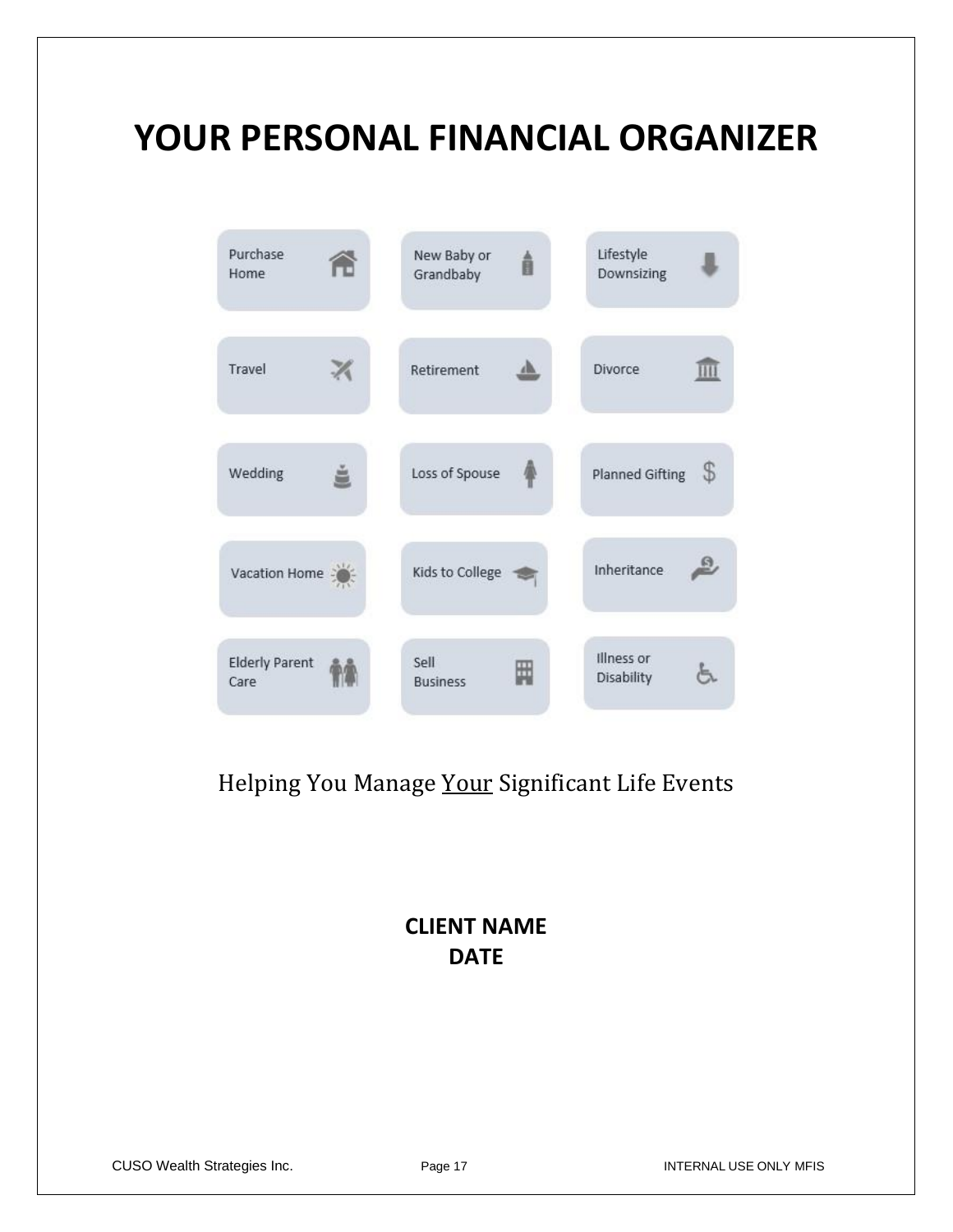# **YOUR PERSONAL FINANCIAL ORGANIZER**

| Purchase<br>Home              | New Baby or<br>Â<br>Grandbaby | Lifestyle<br>Downsizing      |
|-------------------------------|-------------------------------|------------------------------|
| Travel                        | Retirement                    | <b>Divorce</b>               |
| Wedding                       | Loss of Spouse                | \$<br><b>Planned Gifting</b> |
| Vacation Home                 | Kids to College               | Inheritance                  |
| <b>Elderly Parent</b><br>Care | Sell<br>₩<br><b>Business</b>  | Illness or<br>Disability     |

## Helping You Manage Your Significant Life Events

## **CLIENT NAME DATE**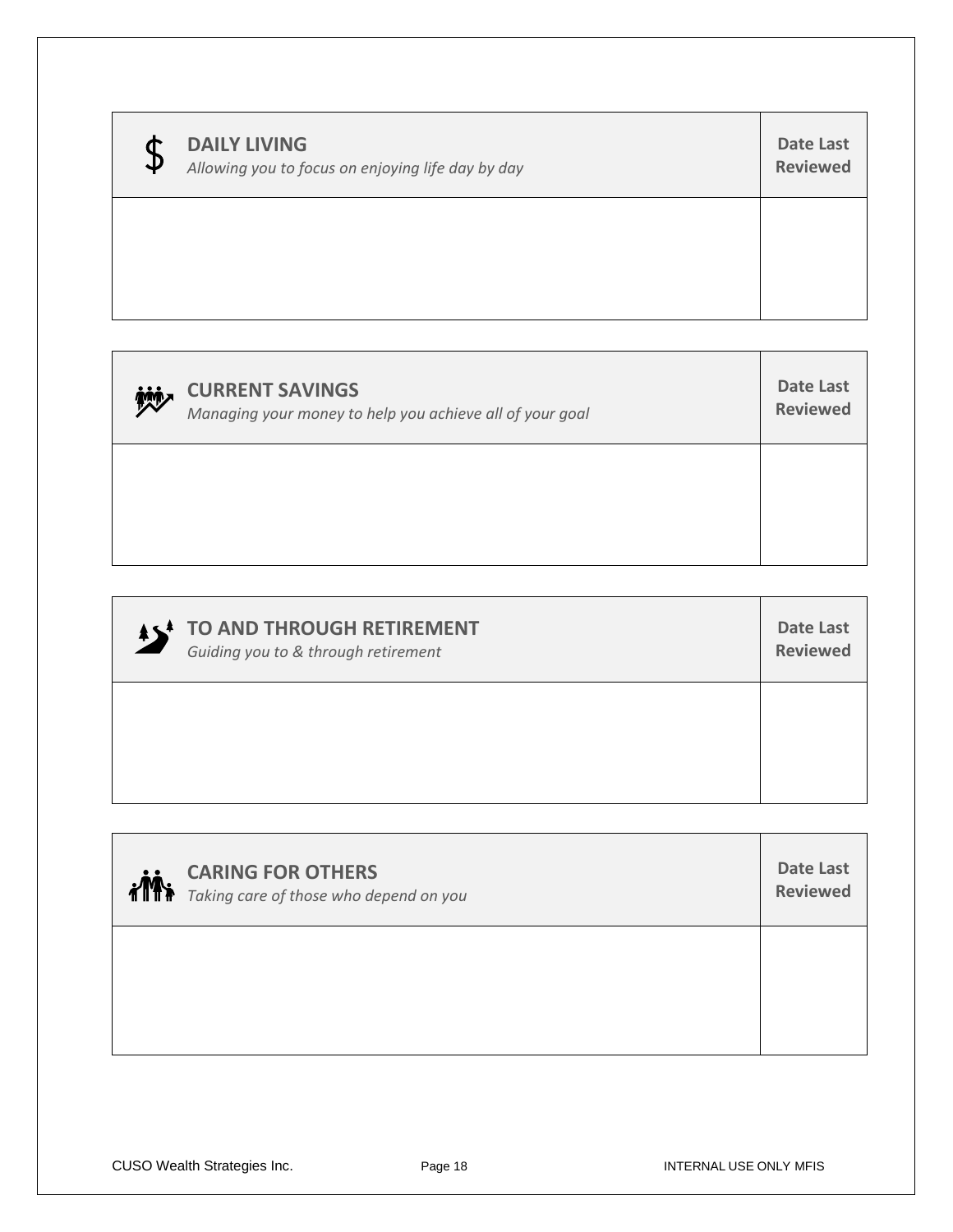| $\mathbf{D}$ | <b>DAILY LIVING</b><br>Allowing you to focus on enjoying life day by day | Date Last<br><b>Reviewed</b> |
|--------------|--------------------------------------------------------------------------|------------------------------|
|              |                                                                          |                              |

| 妙 | <b>CURRENT SAVINGS</b><br>Managing your money to help you achieve all of your goal | Date Last<br><b>Reviewed</b> |
|---|------------------------------------------------------------------------------------|------------------------------|
|   |                                                                                    |                              |

| <b>AS<sup>4</sup> TO AND THROUGH RETIREMENT</b> | Date Last       |
|-------------------------------------------------|-----------------|
| Guiding you to & through retirement             | <b>Reviewed</b> |
|                                                 |                 |

| <b>CARING FOR OTHERS</b><br><b>CARING FURUITERS</b><br><b>THE Taking care of those who depend on you</b> | <b>Date Last</b><br><b>Reviewed</b> |
|----------------------------------------------------------------------------------------------------------|-------------------------------------|
|                                                                                                          |                                     |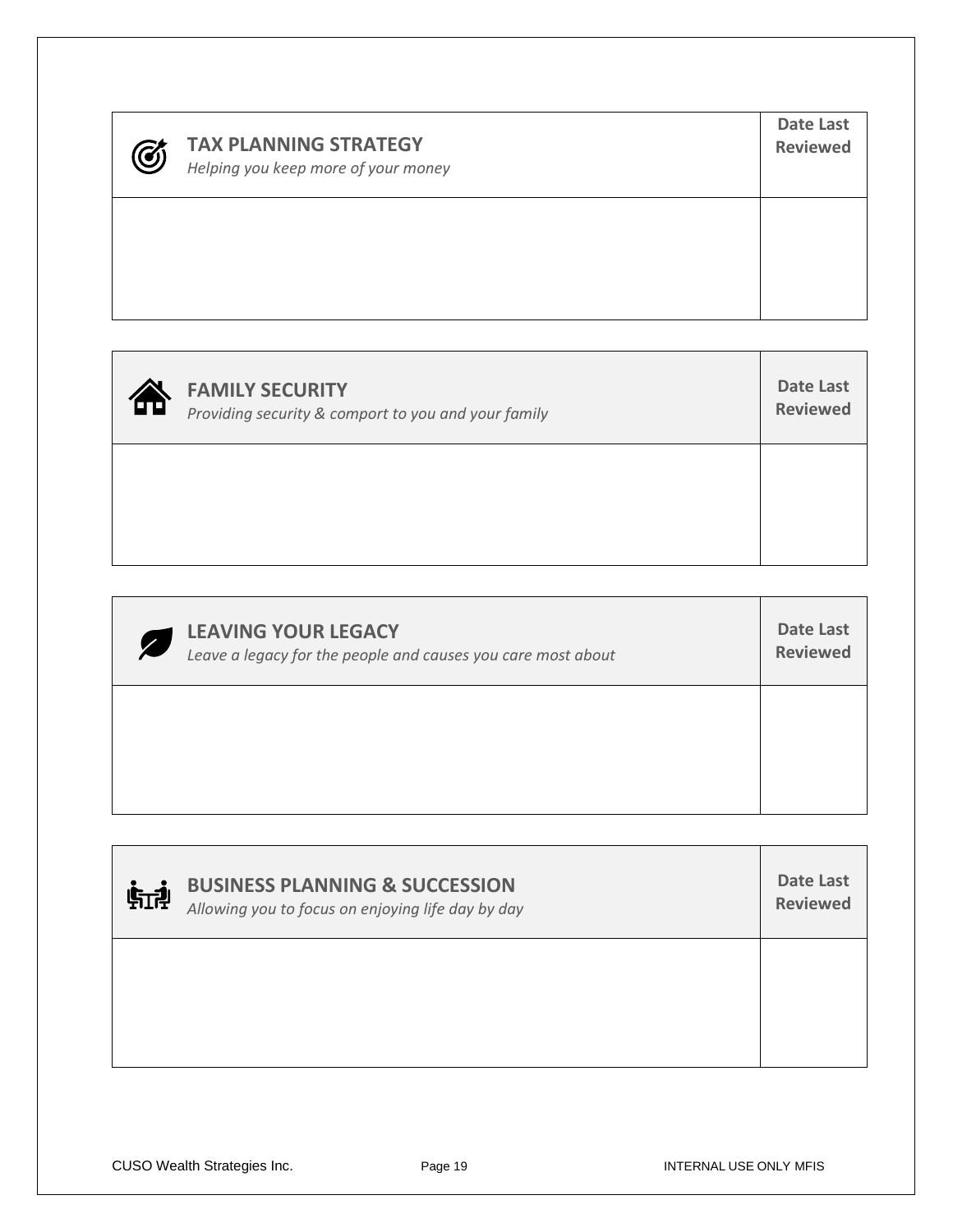## **TAX PLANNING STRATEGY**

*Helping you keep more of your money*

| ΈΠ | <b>FAMILY SECURITY</b><br>Providing security & comport to you and your family | Date Last<br><b>Reviewed</b> |
|----|-------------------------------------------------------------------------------|------------------------------|
|    |                                                                               |                              |

| <b>LEAVING YOUR LEGACY</b><br>Z<br>Leave a legacy for the people and causes you care most about | Date Last<br><b>Reviewed</b> |
|-------------------------------------------------------------------------------------------------|------------------------------|
|                                                                                                 |                              |

| 航神 | <b>BUSINESS PLANNING &amp; SUCCESSION</b><br>Allowing you to focus on enjoying life day by day | Date Last<br><b>Reviewed</b> |
|----|------------------------------------------------------------------------------------------------|------------------------------|
|    |                                                                                                |                              |

**Date Last Reviewed**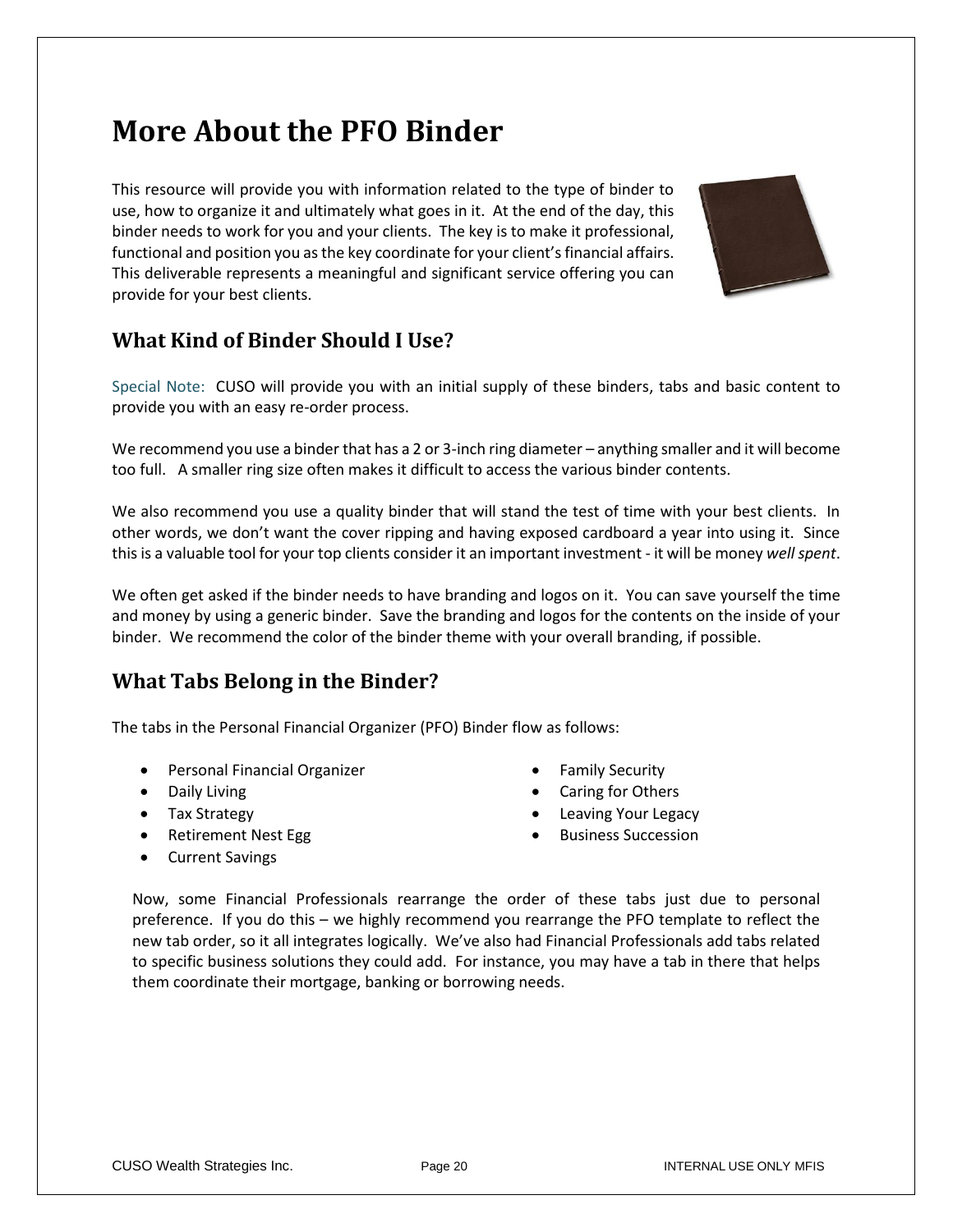## **More About the PFO Binder**

This resource will provide you with information related to the type of binder to use, how to organize it and ultimately what goes in it. At the end of the day, this binder needs to work for you and your clients. The key is to make it professional, functional and position you as the key coordinate for your client's financial affairs. This deliverable represents a meaningful and significant service offering you can provide for your best clients.



### **What Kind of Binder Should I Use?**

Special Note: CUSO will provide you with an initial supply of these binders, tabs and basic content to provide you with an easy re-order process.

We recommend you use a binder that has a 2 or 3-inch ring diameter – anything smaller and it will become too full. A smaller ring size often makes it difficult to access the various binder contents.

We also recommend you use a quality binder that will stand the test of time with your best clients. In other words, we don't want the cover ripping and having exposed cardboard a year into using it. Since this is a valuable tool for your top clients consider it an important investment - it will be money *well spent*.

We often get asked if the binder needs to have branding and logos on it. You can save yourself the time and money by using a generic binder. Save the branding and logos for the contents on the inside of your binder. We recommend the color of the binder theme with your overall branding, if possible.

### **What Tabs Belong in the Binder?**

The tabs in the Personal Financial Organizer (PFO) Binder flow as follows:

- Personal Financial Organizer
- Daily Living
- Tax Strategy
- Retirement Nest Egg
- Current Savings
- Family Security
- Caring for Others
- Leaving Your Legacy
- Business Succession

Now, some Financial Professionals rearrange the order of these tabs just due to personal preference. If you do this – we highly recommend you rearrange the PFO template to reflect the new tab order, so it all integrates logically. We've also had Financial Professionals add tabs related to specific business solutions they could add. For instance, you may have a tab in there that helps them coordinate their mortgage, banking or borrowing needs.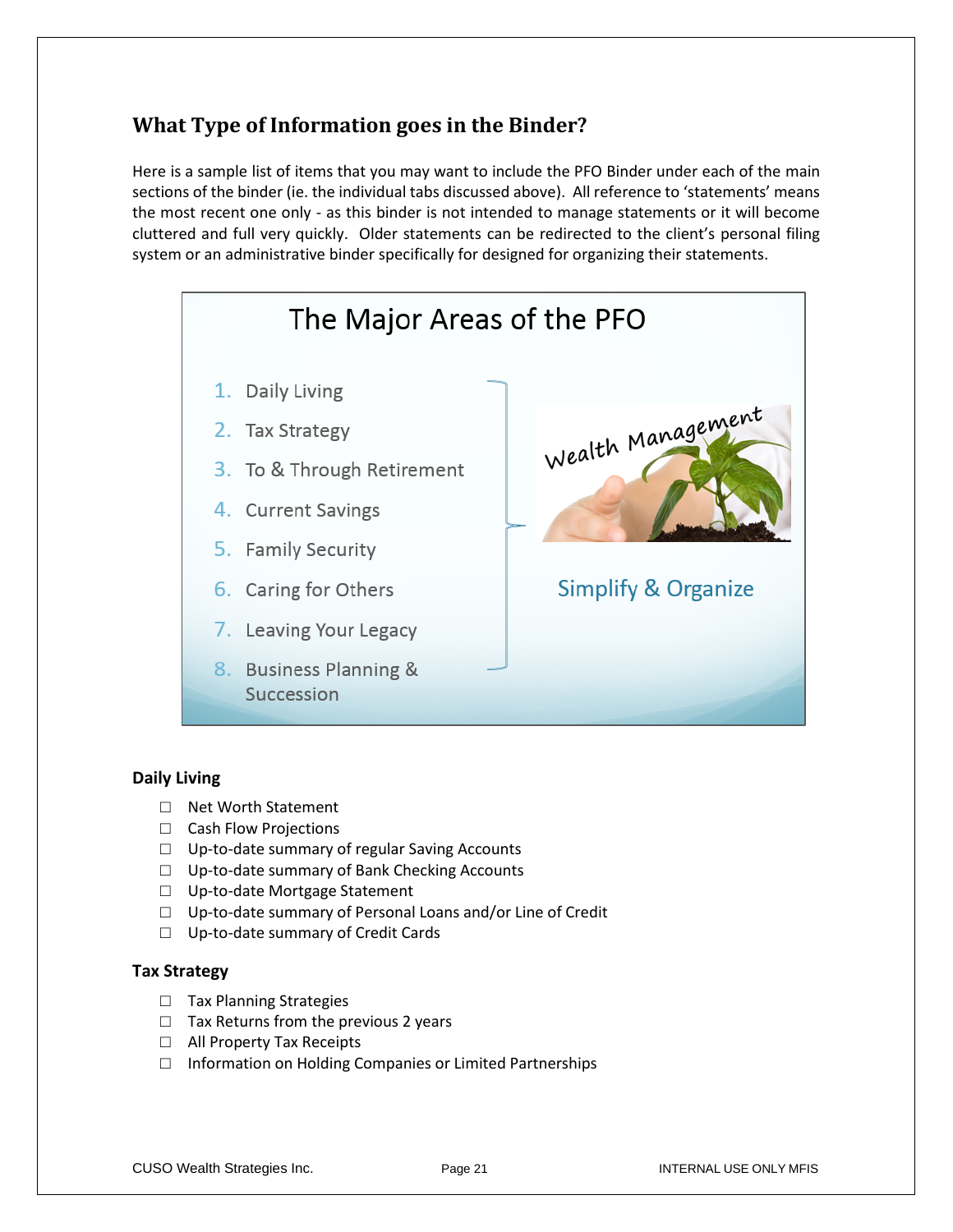### **What Type of Information goes in the Binder?**

Here is a sample list of items that you may want to include the PFO Binder under each of the main sections of the binder (ie. the individual tabs discussed above). All reference to 'statements' means the most recent one only - as this binder is not intended to manage statements or it will become cluttered and full very quickly. Older statements can be redirected to the client's personal filing system or an administrative binder specifically for designed for organizing their statements.



#### **Daily Living**

- □ Net Worth Statement
- □ Cash Flow Projections
- □ Up-to-date summary of regular Saving Accounts
- □ Up-to-date summary of Bank Checking Accounts
- □ Up-to-date Mortgage Statement
- □ Up-to-date summary of Personal Loans and/or Line of Credit
- □ Up-to-date summary of Credit Cards

#### **Tax Strategy**

- □ Tax Planning Strategies
- $\Box$  Tax Returns from the previous 2 years
- □ All Property Tax Receipts
- $\Box$  Information on Holding Companies or Limited Partnerships